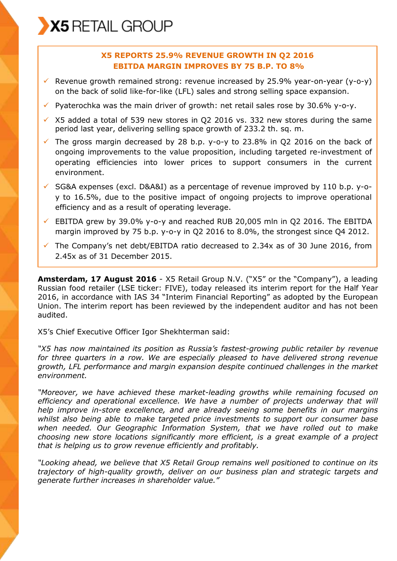# **X5 REPORTS 25.9% REVENUE GROWTH IN Q2 2016 EBITDA MARGIN IMPROVES BY 75 B.P. TO 8%**

- Revenue growth remained strong: revenue increased by 25.9% year-on-year (y-o-y) on the back of solid like-for-like (LFL) sales and strong selling space expansion.
- $\checkmark$  Pyaterochka was the main driver of growth: net retail sales rose by 30.6% y-o-y.
- $\times$  X5 added a total of 539 new stores in Q2 2016 vs. 332 new stores during the same period last year, delivering selling space growth of 233.2 th. sq. m.
- $\checkmark$  The gross margin decreased by 28 b.p. y-o-y to 23.8% in Q2 2016 on the back of ongoing improvements to the value proposition, including targeted re-investment of operating efficiencies into lower prices to support consumers in the current environment.
- $\checkmark$  SG&A expenses (excl. D&A&I) as a percentage of revenue improved by 110 b.p. y-oy to 16.5%, due to the positive impact of ongoing projects to improve operational efficiency and as a result of operating leverage.
- $\checkmark$  EBITDA grew by 39.0% y-o-y and reached RUB 20,005 mln in Q2 2016. The EBITDA margin improved by 75 b.p. y-o-y in O2 2016 to 8.0%, the strongest since O4 2012.
- $\checkmark$  The Company's net debt/EBITDA ratio decreased to 2.34x as of 30 June 2016, from 2.45x as of 31 December 2015.

**Amsterdam, 17 August 2016** - X5 Retail Group N.V. ("X5" or the "Company"), a leading Russian food retailer (LSE ticker: FIVE), today released its interim report for the Half Year 2016, in accordance with IAS 34 "Interim Financial Reporting" as adopted by the European Union. The interim report has been reviewed by the independent auditor and has not been audited.

X5's Chief Executive Officer Igor Shekhterman said:

*"X5 has now maintained its position as Russia's fastest-growing public retailer by revenue*  for three quarters in a row. We are especially pleased to have delivered strong revenue *growth, LFL performance and margin expansion despite continued challenges in the market environment.*

*"Moreover, we have achieved these market-leading growths while remaining focused on efficiency and operational excellence. We have a number of projects underway that will help improve in-store excellence, and are already seeing some benefits in our margins whilst also being able to make targeted price investments to support our consumer base when needed. Our Geographic Information System, that we have rolled out to make choosing new store locations significantly more efficient, is a great example of a project that is helping us to grow revenue efficiently and profitably.*

*"Looking ahead, we believe that X5 Retail Group remains well positioned to continue on its trajectory of high-quality growth, deliver on our business plan and strategic targets and generate further increases in shareholder value."*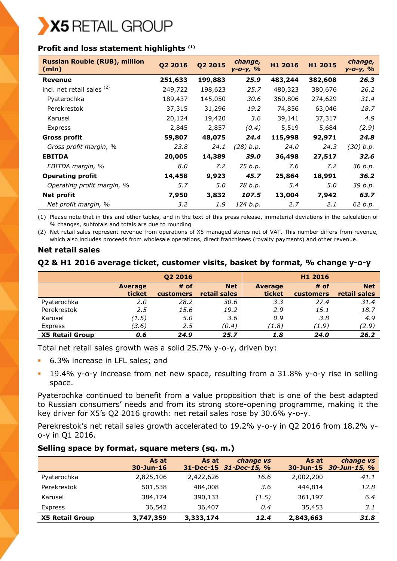# **Profit and loss statement highlights (1)**

| <b>Russian Rouble (RUB), million</b><br>(mln) | Q2 2016 | Q2 2015 | change,<br>$y - 0 - y, %$ | H1 2016 | H1 2015 | change,<br>у-о-у, % |
|-----------------------------------------------|---------|---------|---------------------------|---------|---------|---------------------|
| <b>Revenue</b>                                | 251,633 | 199,883 | 25.9                      | 483,244 | 382,608 | 26.3                |
| incl. net retail sales (2)                    | 249,722 | 198,623 | 25.7                      | 480,323 | 380,676 | 26.2                |
| Pyaterochka                                   | 189,437 | 145,050 | 30.6                      | 360,806 | 274,629 | 31.4                |
| Perekrestok                                   | 37,315  | 31,296  | 19.2                      | 74,856  | 63,046  | 18.7                |
| Karusel                                       | 20,124  | 19,420  | 3.6                       | 39,141  | 37,317  | 4.9                 |
| Express                                       | 2,845   | 2,857   | (0.4)                     | 5,519   | 5,684   | (2.9)               |
| Gross profit                                  | 59,807  | 48,075  | 24.4                      | 115,998 | 92,971  | 24.8                |
| Gross profit margin, %                        | 23.8    | 24.1    | (28) b.p.                 | 24.0    | 24.3    | (30) b.p.           |
| <b>EBITDA</b>                                 | 20,005  | 14,389  | 39.0                      | 36,498  | 27,517  | 32.6                |
| EBITDA margin, %                              | 8.0     | 7.2     | 75 b.p.                   | 7.6     | 7.2     | 36 b.p.             |
| <b>Operating profit</b>                       | 14,458  | 9,923   | 45.7                      | 25,864  | 18,991  | 36.2                |
| Operating profit margin, %                    | 5.7     | 5.0     | 78 b.p.                   | 5.4     | 5.0     | 39 b.p.             |
| <b>Net profit</b>                             | 7,950   | 3,832   | 107.5                     | 13,004  | 7,942   | 63.7                |
| Net profit margin, %                          | 3.2     | 1.9     | 124 b.p.                  | 2.7     | 2.1     | 62 b.p.             |

(1) Please note that in this and other tables, and in the text of this press release, immaterial deviations in the calculation of % changes, subtotals and totals are due to rounding

(2) Net retail sales represent revenue from operations of X5-managed stores net of VAT. This number differs from revenue, which also includes proceeds from wholesale operations, direct franchisees (royalty payments) and other revenue.

# **Net retail sales**

# **Q2 & H1 2016 average ticket, customer visits, basket by format, % change y-o-y**

|                        |                          | Q2 2016                  |                            |                          | H1 2016                    |                            |
|------------------------|--------------------------|--------------------------|----------------------------|--------------------------|----------------------------|----------------------------|
|                        | <b>Average</b><br>ticket | # of<br><b>customers</b> | <b>Net</b><br>retail sales | <b>Average</b><br>ticket | $#$ of<br><b>customers</b> | <b>Net</b><br>retail sales |
| Pyaterochka            | 2.0                      | 28.2                     | 30.6                       | 3.3                      | 27.4                       | 31.4                       |
| Perekrestok            | 2.5                      | 15.6                     | 19.2                       | 2.9                      | 15.1                       | 18.7                       |
| Karusel                | (1.5)                    | 5.0                      | 3.6                        | 0.9                      | 3.8                        | 4.9                        |
| Express                | (3.6)                    | 2.5                      | (0.4)                      | (1.8)                    | (1.9)                      | (2.9)                      |
| <b>X5 Retail Group</b> | 0.6                      | 24.9                     | 25.7                       | 1.8                      | 24.0                       | 26.2                       |

Total net retail sales growth was a solid 25.7% y-o-y, driven by:

- 6.3% increase in LFL sales; and
- 19.4% y-o-y increase from net new space, resulting from a 31.8% y-o-y rise in selling space.

Pyaterochka continued to benefit from a value proposition that is one of the best adapted to Russian consumers' needs and from its strong store-opening programme, making it the key driver for X5's Q2 2016 growth: net retail sales rose by 30.6% y-o-y.

Perekrestok's net retail sales growth accelerated to 19.2% y-o-y in Q2 2016 from 18.2% yo-y in Q1 2016.

# **Selling space by format, square meters (sq. m.)**

|                        | As at<br>$30 - Jun - 16$ | As at     | change vs<br>31-Dec-15 31-Dec-15, % | As at     | change vs<br>30-Jun-15 30-Jun-15, % |
|------------------------|--------------------------|-----------|-------------------------------------|-----------|-------------------------------------|
| Pyaterochka            | 2,825,106                | 2,422,626 | 16.6                                | 2,002,200 | 41.1                                |
| Perekrestok            | 501,538                  | 484,008   | 3.6                                 | 444,814   | 12.8                                |
| Karusel                | 384,174                  | 390,133   | (1.5)                               | 361,197   | 6.4                                 |
| Express                | 36,542                   | 36,407    | 0.4                                 | 35,453    | 3.1                                 |
| <b>X5 Retail Group</b> | 3,747,359                | 3,333,174 | 12.4                                | 2,843,663 | 31.8                                |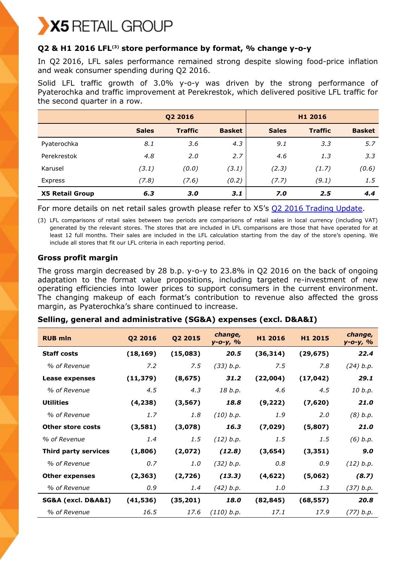# **Q2 & H1 2016 LFL(3) store performance by format, % change y-o-y**

In Q2 2016, LFL sales performance remained strong despite slowing food-price inflation and weak consumer spending during Q2 2016.

Solid LFL traffic growth of 3.0% y-o-y was driven by the strong performance of Pyaterochka and traffic improvement at Perekrestok, which delivered positive LFL traffic for the second quarter in a row.

|                        | Q2 2016      |                |               |                 | H1 2016        |               |
|------------------------|--------------|----------------|---------------|-----------------|----------------|---------------|
|                        | <b>Sales</b> | <b>Traffic</b> | <b>Basket</b> | <b>Sales</b>    | <b>Traffic</b> | <b>Basket</b> |
| Pyaterochka            | 8.1          | 3.6            | 4.3           | 9.1             | 3.3            | 5.7           |
| Perekrestok            | 4.8          | 2.0            | 2.7           | 4.6             | 1.3            | 3.3           |
| Karusel                | (3.1)        | (0.0)          | (3.1)         | (2.3)           | (1.7)          | (0.6)         |
| Express                | (7.8)        | (7.6)          | (0.2)         | (7.7)           | (9.1)          | $1.5^{\circ}$ |
| <b>X5 Retail Group</b> | 6,3          | 3.0            | 3.1           | Z <sub>.0</sub> | 2.5            | 4.4           |

For more details on net retail sales growth please refer to X5's [Q2 2016 Trading Update.](https://www.x5.ru/en/PublishingImages/Pages/Media/News/190716_Q2_2016_trading_update_eng.pdf)

(3) LFL comparisons of retail sales between two periods are comparisons of retail sales in local currency (including VAT) generated by the relevant stores. The stores that are included in LFL comparisons are those that have operated for at least 12 full months. Their sales are included in the LFL calculation starting from the day of the store's opening. We include all stores that fit our LFL criteria in each reporting period.

# **Gross profit margin**

The gross margin decreased by 28 b.p. y-o-y to 23.8% in Q2 2016 on the back of ongoing adaptation to the format value propositions, including targeted re-investment of new operating efficiencies into lower prices to support consumers in the current environment. The changing makeup of each format's contribution to revenue also affected the gross margin, as Pyaterochka's share continued to increase.

# **Selling, general and administrative (SG&A) expenses (excl. D&A&I)**

| <b>RUB mln</b>           | Q2 2016   | Q2 2015   | change,<br>$y - 0 - y, %$ | H1 2016   | H1 2015   | change,<br>у-о-у, % |
|--------------------------|-----------|-----------|---------------------------|-----------|-----------|---------------------|
| <b>Staff costs</b>       | (18, 169) | (15,083)  | 20.5                      | (36, 314) | (29, 675) | 22.4                |
| % of Revenue             | 7.2       | 7.5       | (33) b.p.                 | 7.5       | 7.8       | (24) b.p.           |
| Lease expenses           | (11, 379) | (8, 675)  | 31.2                      | (22,004)  | (17, 042) | 29.1                |
| % of Revenue             | 4.5       | 4.3       | 18 b.p.                   | 4.6       | 4.5       | 10 b.p.             |
| <b>Utilities</b>         | (4, 238)  | (3, 567)  | 18.8                      | (9, 222)  | (7,620)   | 21.0                |
| % of Revenue             | 1.7       | 1.8       | (10) b.p.                 | 1.9       | 2.0       | (8) b.p.            |
| <b>Other store costs</b> | (3,581)   | (3,078)   | 16.3                      | (7,029)   | (5,807)   | 21.0                |
| % of Revenue             | 1.4       | 1.5       | (12) b.p.                 | 1.5       | 1.5       | (6) b.p.            |
| Third party services     | (1,806)   | (2,072)   | (12.8)                    | (3,654)   | (3, 351)  | 9.0                 |
| % of Revenue             | 0.7       | 1.0       | (32) b.p.                 | 0.8       | 0.9       | (12) b.p.           |
| <b>Other expenses</b>    | (2, 363)  | (2,726)   | (13.3)                    | (4,622)   | (5,062)   | (8.7)               |
| % of Revenue             | 0.9       | 1.4       | (42) b.p.                 | 1.0       | 1.3       | (37) b.p.           |
| SG&A (excl. D&A&I)       | (41, 536) | (35, 201) | 18.0                      | (82, 845) | (68, 557) | 20.8                |
| % of Revenue             | 16.5      | 17.6      | (110) b.p.                | 17.1      | 17.9      | (77) b.p.           |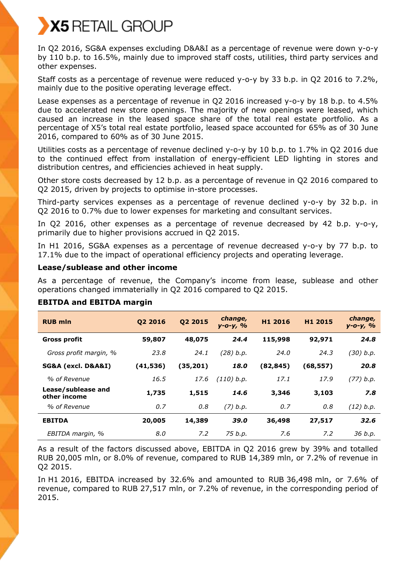In Q2 2016, SG&A expenses excluding D&A&I as a percentage of revenue were down y-o-y by 110 b.p. to 16.5%, mainly due to improved staff costs, utilities, third party services and other expenses.

Staff costs as a percentage of revenue were reduced y-o-y by 33 b.p. in Q2 2016 to 7.2%, mainly due to the positive operating leverage effect.

Lease expenses as a percentage of revenue in Q2 2016 increased y-o-y by 18 b.p. to 4.5% due to accelerated new store openings. The majority of new openings were leased, which caused an increase in the leased space share of the total real estate portfolio. As a percentage of X5's total real estate portfolio, leased space accounted for 65% as of 30 June 2016, compared to 60% as of 30 June 2015.

Utilities costs as a percentage of revenue declined y-o-y by 10 b.p. to 1.7% in Q2 2016 due to the continued effect from installation of energy-efficient LED lighting in stores and distribution centres, and efficiencies achieved in heat supply.

Other store costs decreased by 12 b.p. as a percentage of revenue in Q2 2016 compared to Q2 2015, driven by projects to optimise in-store processes.

Third-party services expenses as a percentage of revenue declined y-o-y by 32 b.p. in Q2 2016 to 0.7% due to lower expenses for marketing and consultant services.

In Q2 2016, other expenses as a percentage of revenue decreased by 42 b.p. y-o-y, primarily due to higher provisions accrued in Q2 2015.

In H1 2016, SG&A expenses as a percentage of revenue decreased y-o-y by 77 b.p. to 17.1% due to the impact of operational efficiency projects and operating leverage.

# **Lease/sublease and other income**

As a percentage of revenue, the Company's income from lease, sublease and other operations changed immaterially in Q2 2016 compared to Q2 2015.

| <b>RUB mln</b>                     | 02 2016  | Q2 2015  | change,<br>$y - 0 - y, %$ | H1 2016   | H1 2015   | change,<br>$y - 0 - y$ , % |
|------------------------------------|----------|----------|---------------------------|-----------|-----------|----------------------------|
| Gross profit                       | 59,807   | 48,075   | 24.4                      | 115,998   | 92,971    | 24.8                       |
| Gross profit margin, %             | 23.8     | 24.1     | (28) b.p.                 | 24.0      | 24.3      | (30) b.p.                  |
| SG&A (excl. D&A&I)                 | (41,536) | (35,201) | 18.0                      | (82, 845) | (68, 557) | 20.8                       |
| % of Revenue                       | 16.5     | 17.6     | (110) b.p.                | 17.1      | 17.9      | (77) b.p.                  |
| Lease/sublease and<br>other income | 1,735    | 1,515    | 14.6                      | 3,346     | 3,103     | 7.8                        |
| % of Revenue                       | 0.7      | 0.8      | $(7)$ b.p.                | 0.7       | 0.8       | (12) b.p.                  |
| <b>EBITDA</b>                      | 20,005   | 14,389   | 39.0                      | 36,498    | 27,517    | 32.6                       |
| EBITDA margin, %                   | 8.0      | 7.2      | 75 b.p.                   | 7.6       | 7.2       | 36 b.p.                    |

# **EBITDA and EBITDA margin**

As a result of the factors discussed above, EBITDA in Q2 2016 grew by 39% and totalled RUB 20,005 mln, or 8.0% of revenue, compared to RUB 14,389 mln, or 7.2% of revenue in Q2 2015.

In H1 2016, EBITDA increased by 32.6% and amounted to RUB 36,498 mln, or 7.6% of revenue, compared to RUB 27,517 mln, or 7.2% of revenue, in the corresponding period of 2015.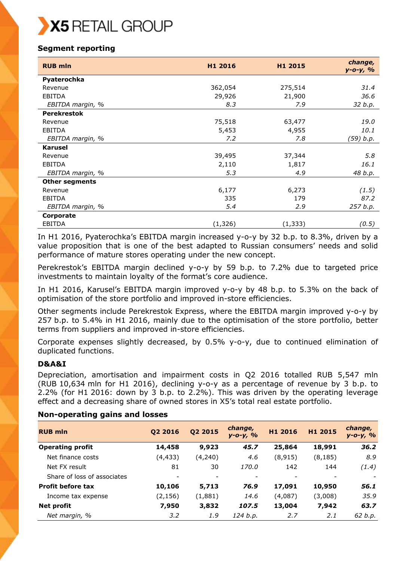# **Segment reporting**

| <b>RUB mln</b>        | H1 2016  | H1 2015  | change,<br>$y - 0 - y, %$ |
|-----------------------|----------|----------|---------------------------|
| Pyaterochka           |          |          |                           |
| Revenue               | 362,054  | 275,514  | 31.4                      |
| <b>EBITDA</b>         | 29,926   | 21,900   | 36.6                      |
| EBITDA margin, %      | 8.3      | 7.9      | 32 b.p.                   |
| <b>Perekrestok</b>    |          |          |                           |
| Revenue               | 75,518   | 63,477   | 19.0                      |
| <b>EBITDA</b>         | 5,453    | 4,955    | 10.1                      |
| EBITDA margin, %      | 7.2      | 7.8      | (59) b.p.                 |
| <b>Karusel</b>        |          |          |                           |
| Revenue               | 39,495   | 37,344   | 5.8                       |
| <b>EBITDA</b>         | 2,110    | 1,817    | 16.1                      |
| EBITDA margin, %      | 5.3      | 4.9      | 48 b.p.                   |
| <b>Other segments</b> |          |          |                           |
| Revenue               | 6,177    | 6,273    | (1.5)                     |
| <b>EBITDA</b>         | 335      | 179      | 87.2                      |
| EBITDA margin, %      | 5.4      | 2.9      | 257 b.p.                  |
| Corporate             |          |          |                           |
| <b>EBITDA</b>         | (1, 326) | (1, 333) | (0.5)                     |

In H1 2016, Pyaterochka's EBITDA margin increased y-o-y by 32 b.p. to 8.3%, driven by a value proposition that is one of the best adapted to Russian consumers' needs and solid performance of mature stores operating under the new concept.

Perekrestok's EBITDA margin declined y-o-y by 59 b.p. to 7.2% due to targeted price investments to maintain loyalty of the format's core audience.

In H1 2016, Karusel's EBITDA margin improved y-o-y by 48 b.p. to 5.3% on the back of optimisation of the store portfolio and improved in-store efficiencies.

Other segments include Perekrestok Express, where the EBITDA margin improved y-o-y by 257 b.p. to 5.4% in H1 2016, mainly due to the optimisation of the store portfolio, better terms from suppliers and improved in-store efficiencies.

Corporate expenses slightly decreased, by 0.5% y-o-y, due to continued elimination of duplicated functions.

# **D&A&I**

Depreciation, amortisation and impairment costs in Q2 2016 totalled RUB 5,547 mln (RUB 10,634 mln for H1 2016), declining y-o-y as a percentage of revenue by 3 b.p. to 2.2% (for H1 2016: down by 3 b.p. to 2.2%). This was driven by the operating leverage effect and a decreasing share of owned stores in X5's total real estate portfolio.

# **Non-operating gains and losses**

| <b>RUB mln</b>              | Q2 2016  | Q2 2015 | change,<br>$y - 0 - y, %$ | H1 2016  | H1 2015  | change,<br>$y - 0 - y, %$ |
|-----------------------------|----------|---------|---------------------------|----------|----------|---------------------------|
| <b>Operating profit</b>     | 14,458   | 9,923   | 45.7                      | 25,864   | 18,991   | 36.2                      |
| Net finance costs           | (4, 433) | (4,240) | 4.6                       | (8, 915) | (8, 185) | 8.9                       |
| Net FX result               | 81       | 30      | 170.0                     | 142      | 144      | (1.4)                     |
| Share of loss of associates |          |         |                           |          |          |                           |
| <b>Profit before tax</b>    | 10,106   | 5,713   | 76.9                      | 17,091   | 10,950   | 56.1                      |
| Income tax expense          | (2, 156) | (1,881) | 14.6                      | (4,087)  | (3,008)  | 35.9                      |
| <b>Net profit</b>           | 7,950    | 3,832   | 107.5                     | 13,004   | 7,942    | 63.7                      |
| Net margin, %               | 3.2      | 1.9     | 124 b.p.                  | 2.7      | 2.1      | 62 b.p.                   |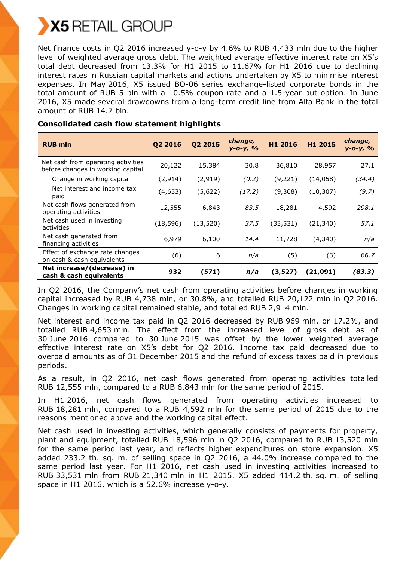

Net finance costs in Q2 2016 increased y-o-y by 4.6% to RUB 4,433 mln due to the higher level of weighted average gross debt. The weighted average effective interest rate on X5's total debt decreased from 13.3% for H1 2015 to 11.67% for H1 2016 due to declining interest rates in Russian capital markets and actions undertaken by X5 to minimise interest expenses. In May 2016, X5 issued BO-06 series exchange-listed corporate bonds in the total amount of RUB 5 bln with a 10.5% coupon rate and a 1.5-year put option. In June 2016, X5 made several drawdowns from a long-term credit line from Alfa Bank in the total amount of RUB 14.7 bln.

| <b>RUB mln</b>                                                          | Q2 2016   | Q2 2015  | change,<br>$y - 0 - y, %$ | H1 2016   | H1 2015   | change,<br>$y - 0 - y$ , % |
|-------------------------------------------------------------------------|-----------|----------|---------------------------|-----------|-----------|----------------------------|
| Net cash from operating activities<br>before changes in working capital | 20,122    | 15,384   | 30.8                      | 36,810    | 28,957    | 27.1                       |
| Change in working capital                                               | (2, 914)  | (2,919)  | (0.2)                     | (9,221)   | (14, 058) | (34.4)                     |
| Net interest and income tax<br>paid                                     | (4,653)   | (5,622)  | (17.2)                    | (9,308)   | (10, 307) | (9.7)                      |
| Net cash flows generated from<br>operating activities                   | 12,555    | 6,843    | 83.5                      | 18,281    | 4,592     | 298.1                      |
| Net cash used in investing<br>activities                                | (18, 596) | (13,520) | 37.5                      | (33, 531) | (21, 340) | 57.1                       |
| Net cash generated from<br>financing activities                         | 6,979     | 6,100    | 14.4                      | 11,728    | (4,340)   | n/a                        |
| Effect of exchange rate changes<br>on cash & cash equivalents           | (6)       | 6        | n/a                       | (5)       | (3)       | 66.7                       |
| Net increase/(decrease) in<br>cash & cash equivalents                   | 932       | (571)    | n/a                       | (3,527)   | (21,091)  | (83.3)                     |

# **Consolidated cash flow statement highlights**

In Q2 2016, the Company's net cash from operating activities before changes in working capital increased by RUB 4,738 mln, or 30.8%, and totalled RUB 20,122 mln in Q2 2016. Changes in working capital remained stable, and totalled RUB 2,914 mln.

Net interest and income tax paid in Q2 2016 decreased by RUB 969 mln, or 17.2%, and totalled RUB 4,653 mln. The effect from the increased level of gross debt as of 30 June 2016 compared to 30 June 2015 was offset by the lower weighted average effective interest rate on X5's debt for Q2 2016. Income tax paid decreased due to overpaid amounts as of 31 December 2015 and the refund of excess taxes paid in previous periods.

As a result, in Q2 2016, net cash flows generated from operating activities totalled RUB 12,555 mln, compared to a RUB 6,843 mln for the same period of 2015.

In H1 2016, net cash flows generated from operating activities increased to RUB 18,281 mln, compared to a RUB 4,592 mln for the same period of 2015 due to the reasons mentioned above and the working capital effect.

Net cash used in investing activities, which generally consists of payments for property, plant and equipment, totalled RUB 18,596 mln in Q2 2016, compared to RUB 13,520 mln for the same period last year, and reflects higher expenditures on store expansion. X5 added 233.2 th. sq. m. of selling space in Q2 2016, a 44.0% increase compared to the same period last year. For H1 2016, net cash used in investing activities increased to RUB 33,531 mln from RUB 21,340 mln in H1 2015. X5 added 414.2 th. sq. m. of selling space in H1 2016, which is a 52.6% increase y-o-y.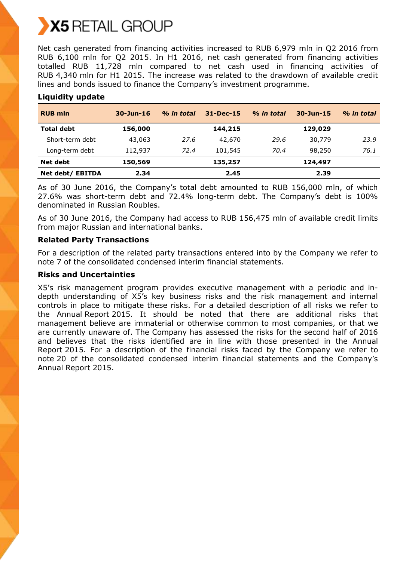Net cash generated from financing activities increased to RUB 6,979 mln in Q2 2016 from RUB 6,100 mln for Q2 2015. In H1 2016, net cash generated from financing activities totalled RUB 11,728 mln compared to net cash used in financing activities of RUB 4,340 mln for H1 2015. The increase was related to the drawdown of available credit lines and bonds issued to finance the Company's investment programme.

| <b>RUB mln</b>    | $30 - Jun - 16$ | % in total | $31 - Dec - 15$ | % in total | $30 - Jun - 15$ | % in total |
|-------------------|-----------------|------------|-----------------|------------|-----------------|------------|
| <b>Total debt</b> | 156,000         |            | 144,215         |            | 129,029         |            |
| Short-term debt   | 43,063          | 27.6       | 42,670          | 29.6       | 30,779          | 23.9       |
| Long-term debt    | 112,937         | 72.4       | 101,545         | 70.4       | 98,250          | 76.1       |
| Net debt          | 150,569         |            | 135,257         |            | 124,497         |            |
| Net debt/ EBITDA  | 2.34            |            | 2.45            |            | 2.39            |            |

# **Liquidity update**

As of 30 June 2016, the Company's total debt amounted to RUB 156,000 mln, of which 27.6% was short-term debt and 72.4% long-term debt. The Company's debt is 100% denominated in Russian Roubles.

As of 30 June 2016, the Company had access to RUB 156,475 mln of available credit limits from major Russian and international banks.

# **Related Party Transactions**

For a description of the related party transactions entered into by the Company we refer to note 7 of the consolidated condensed interim financial statements.

# **Risks and Uncertainties**

X5's risk management program provides executive management with a periodic and indepth understanding of X5's key business risks and the risk management and internal controls in place to mitigate these risks. For a detailed description of all risks we refer to the Annual Report 2015. It should be noted that there are additional risks that management believe are immaterial or otherwise common to most companies, or that we are currently unaware of. The Company has assessed the risks for the second half of 2016 and believes that the risks identified are in line with those presented in the Annual Report 2015. For a description of the financial risks faced by the Company we refer to note 20 of the consolidated condensed interim financial statements and the Company's Annual Report 2015.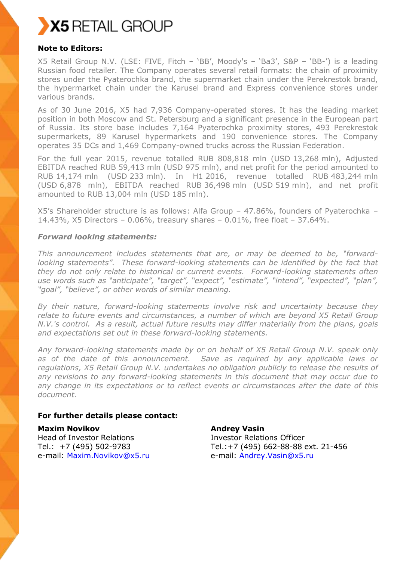

# **Note to Editors:**

X5 Retail Group N.V. (LSE: FIVE, Fitch – 'BB', Moody's – 'Ba3', S&P – 'BB-') is a leading Russian food retailer. The Company operates several retail formats: the chain of proximity stores under the Pyaterochka brand, the supermarket chain under the Perekrestok brand, the hypermarket chain under the Karusel brand and Express convenience stores under various brands.

As of 30 June 2016, X5 had 7,936 Company-operated stores. It has the leading market position in both Moscow and St. Petersburg and a significant presence in the European part of Russia. Its store base includes 7,164 Pyaterochka proximity stores, 493 Perekrestok supermarkets, 89 Karusel hypermarkets and 190 convenience stores. The Company operates 35 DCs and 1,469 Company-owned trucks across the Russian Federation.

For the full year 2015, revenue totalled RUB 808,818 mln (USD 13,268 mln), Adjusted EBITDA reached RUB 59,413 mln (USD 975 mln), and net profit for the period amounted to RUB 14,174 mln (USD 233 mln). In H1 2016, revenue totalled RUB 483,244 mln (USD 6,878 mln), EBITDA reached RUB 36,498 mln (USD 519 mln), and net profit amounted to RUB 13,004 mln (USD 185 mln).

X5's Shareholder structure is as follows: Alfa Group – 47.86%, founders of Pyaterochka – 14.43%, X5 Directors – 0.06%, treasury shares – 0.01%, free float – 37.64%.

# *Forward looking statements:*

*This announcement includes statements that are, or may be deemed to be, "forwardlooking statements". These forward-looking statements can be identified by the fact that they do not only relate to historical or current events. Forward-looking statements often use words such as "anticipate", "target", "expect", "estimate", "intend", "expected", "plan", "goal", "believe", or other words of similar meaning.*

*By their nature, forward-looking statements involve risk and uncertainty because they relate to future events and circumstances, a number of which are beyond X5 Retail Group N.V.'s control. As a result, actual future results may differ materially from the plans, goals and expectations set out in these forward-looking statements.* 

*Any forward-looking statements made by or on behalf of X5 Retail Group N.V. speak only as of the date of this announcement. Save as required by any applicable laws or regulations, X5 Retail Group N.V. undertakes no obligation publicly to release the results of any revisions to any forward-looking statements in this document that may occur due to any change in its expectations or to reflect events or circumstances after the date of this document.*

# **For further details please contact:**

**Maxim Novikov** Head of Investor Relations Tel.: +7 (495) 502-9783 e-mail: [Maxim.Novikov@x5.ru](mailto:Maxim.Novikov@x5.ru)

**Andrey Vasin** Investor Relations Officer Tel.:+7 (495) 662-88-88 ext. 21-456 e-mail: [Andrey.Vasin@x5.ru](mailto:Andrey.Vasin@x5.ru)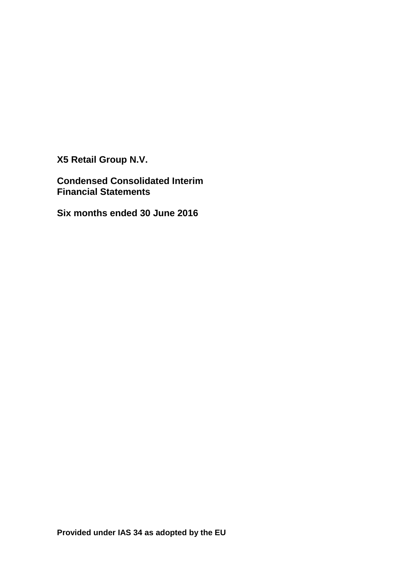**X5 Retail Group N.V.**

**Condensed Consolidated Interim Financial Statements**

**Six months ended 30 June 2016**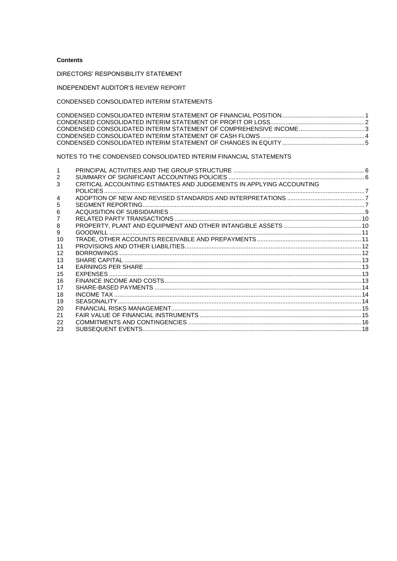## **Contents**

DIRECTORS' RESPONSIBILITY STATEMENT

INDEPENDENT AUDITOR'S REVIEW REPORT

## CONDENSED CONSOLIDATED INTERIM STATEMENTS

# NOTES TO THE CONDENSED CONSOLIDATED INTERIM FINANCIAL STATEMENTS

| 2  |                                                                     |  |
|----|---------------------------------------------------------------------|--|
| 3  | CRITICAL ACCOUNTING ESTIMATES AND JUDGEMENTS IN APPLYING ACCOUNTING |  |
|    |                                                                     |  |
| 4  |                                                                     |  |
| 5  |                                                                     |  |
| 6  |                                                                     |  |
|    |                                                                     |  |
| 8  |                                                                     |  |
| 9  |                                                                     |  |
| 10 |                                                                     |  |
| 11 |                                                                     |  |
| 12 |                                                                     |  |
| 13 |                                                                     |  |
| 14 |                                                                     |  |
| 15 |                                                                     |  |
| 16 |                                                                     |  |
| 17 |                                                                     |  |
| 18 |                                                                     |  |
| 19 |                                                                     |  |
| 20 |                                                                     |  |
| 21 |                                                                     |  |
| 22 |                                                                     |  |
| 23 |                                                                     |  |
|    |                                                                     |  |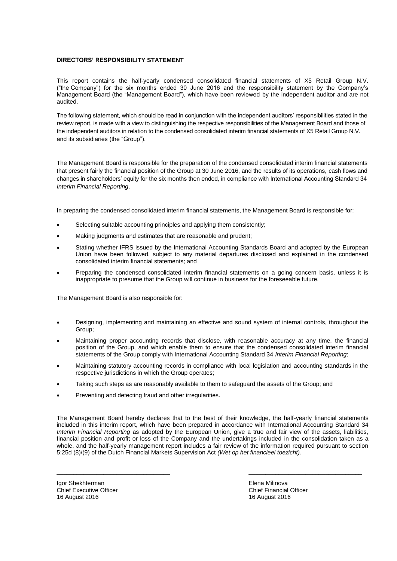## **DIRECTORS' RESPONSIBILITY STATEMENT**

This report contains the half-yearly condensed consolidated financial statements of X5 Retail Group N.V. ("the Company") for the six months ended 30 June 2016 and the responsibility statement by the Company's Management Board (the "Management Board"), which have been reviewed by the independent auditor and are not audited.

The following statement, which should be read in conjunction with the independent auditors' responsibilities stated in the review report, is made with a view to distinguishing the respective responsibilities of the Management Board and those of the independent auditors in relation to the condensed consolidated interim financial statements of X5 Retail Group N.V. and its subsidiaries (the "Group").

The Management Board is responsible for the preparation of the condensed consolidated interim financial statements that present fairly the financial position of the Group at 30 June 2016, and the results of its operations, cash flows and changes in shareholders' equity for the six months then ended, in compliance with International Accounting Standard 34 *Interim Financial Reporting*.

In preparing the condensed consolidated interim financial statements, the Management Board is responsible for:

- Selecting suitable accounting principles and applying them consistently;
- Making judgments and estimates that are reasonable and prudent;
- Stating whether IFRS issued by the International Accounting Standards Board and adopted by the European Union have been followed, subject to any material departures disclosed and explained in the condensed consolidated interim financial statements; and
- Preparing the condensed consolidated interim financial statements on a going concern basis, unless it is inappropriate to presume that the Group will continue in business for the foreseeable future.

The Management Board is also responsible for:

- Designing, implementing and maintaining an effective and sound system of internal controls, throughout the Group;
- Maintaining proper accounting records that disclose, with reasonable accuracy at any time, the financial position of the Group, and which enable them to ensure that the condensed consolidated interim financial statements of the Group comply with International Accounting Standard 34 *Interim Financial Reporting*;
- Maintaining statutory accounting records in compliance with local legislation and accounting standards in the respective jurisdictions in which the Group operates;
- Taking such steps as are reasonably available to them to safeguard the assets of the Group; and
- Preventing and detecting fraud and other irregularities.

The Management Board hereby declares that to the best of their knowledge, the half-yearly financial statements included in this interim report, which have been prepared in accordance with International Accounting Standard 34 *Interim Financial Reporting* as adopted by the European Union, give a true and fair view of the assets, liabilities, financial position and profit or loss of the Company and the undertakings included in the consolidation taken as a whole, and the half-yearly management report includes a fair review of the information required pursuant to section 5:25d (8)/(9) of the Dutch Financial Markets Supervision Act *(Wet op het financieel toezicht)*.

 $\overline{\phantom{a}}$  , and the contribution of the contribution of the contribution of the contribution of the contribution of the contribution of the contribution of the contribution of the contribution of the contribution of the

Igor Shekhterman Elena Milinova Chief Executive Officer 16 August 2016 16 August 2016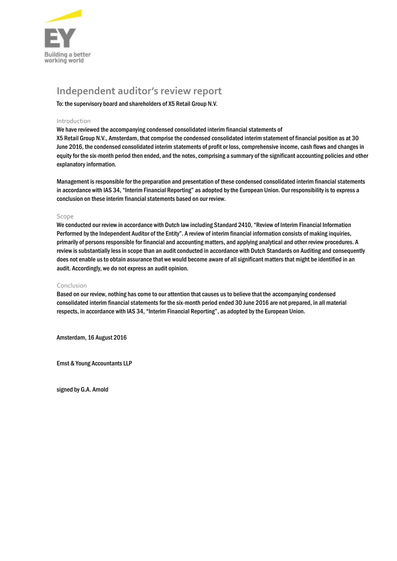

# **Independent auditor's review report**

To: the supervisory board and shareholders of X5 Retail Group N.V.

## Introduction

We have reviewed the accompanying condensed consolidated interim financial statements of

X5 Retail Group N.V., Amsterdam, that comprise the condensed consolidated interim statement of financial position as at 30 June 2016, the condensed consolidated interim statements of profit or loss, comprehensive income, cash flows and changes in equity for the six-month period then ended, and the notes, comprising a summary of the significant accounting policies and other explanatory information.

Management is responsible for the preparation and presentation of these condensed consolidated interim financial statements in accordance with IAS 34, "Interim Financial Reporting" as adopted by the European Union. Our responsibility is to express a conclusion on these interim financial statements based on our review.

## Scope

We conducted our review in accordance with Dutch law including Standard 2410, "Review of Interim Financial Information Performed by the Independent Auditor of the Entity". A review of interim financial information consists of making inquiries, primarily of persons responsible for financial and accounting matters, and applying analytical and other review procedures. A review is substantially less in scope than an audit conducted in accordance with Dutch Standards on Auditing and consequently does not enable us to obtain assurance that we would become aware of all significant matters that might be identified in an audit. Accordingly, we do not express an audit opinion.

#### Conclusion

Based on our review, nothing has come to our attention that causes us to believe that the accompanying condensed consolidated interim financial statements for the six-month period ended 30 June 2016 are not prepared, in all material respects, in accordance with IAS 34, "Interim Financial Reporting", as adopted by the European Union.

Amsterdam, 16 August 2016

Ernst & Young Accountants LLP

signed by G.A. Arnold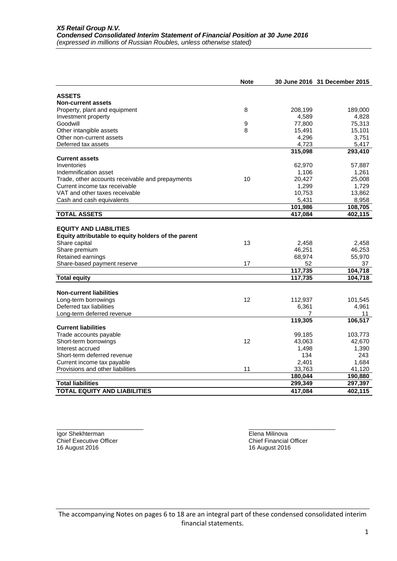|                                                     | <b>Note</b> |         | 30 June 2016 31 December 2015 |
|-----------------------------------------------------|-------------|---------|-------------------------------|
|                                                     |             |         |                               |
| <b>ASSETS</b>                                       |             |         |                               |
| <b>Non-current assets</b>                           |             |         |                               |
| Property, plant and equipment                       | 8           | 208,199 | 189,000                       |
| Investment property                                 |             | 4,589   | 4,828                         |
| Goodwill                                            | 9           | 77,800  | 75,313                        |
| Other intangible assets                             | 8           | 15,491  | 15,101                        |
| Other non-current assets                            |             | 4,296   | 3,751                         |
| Deferred tax assets                                 |             | 4,723   | 5,417                         |
| <b>Current assets</b>                               |             | 315,098 | 293,410                       |
| Inventories                                         |             | 62,970  |                               |
| Indemnification asset                               |             | 1,106   | 57,887<br>1,261               |
| Trade, other accounts receivable and prepayments    | 10          | 20,427  | 25,008                        |
| Current income tax receivable                       |             | 1,299   | 1,729                         |
| VAT and other taxes receivable                      |             | 10,753  | 13,862                        |
| Cash and cash equivalents                           |             | 5,431   | 8,958                         |
|                                                     |             | 101,986 | 108,705                       |
| <b>TOTAL ASSETS</b>                                 |             | 417,084 | 402,115                       |
|                                                     |             |         |                               |
| <b>EQUITY AND LIABILITIES</b>                       |             |         |                               |
| Equity attributable to equity holders of the parent |             |         |                               |
| Share capital                                       | 13          | 2,458   | 2,458                         |
| Share premium                                       |             | 46,251  | 46,253                        |
| Retained earnings                                   |             | 68,974  | 55,970                        |
| Share-based payment reserve                         | 17          | 52      | 37                            |
|                                                     |             | 117,735 | 104,718                       |
| <b>Total equity</b>                                 |             | 117,735 | 104,718                       |
|                                                     |             |         |                               |
| <b>Non-current liabilities</b>                      |             |         |                               |
| Long-term borrowings                                | 12          | 112,937 | 101,545                       |
| Deferred tax liabilities                            |             | 6,361   | 4,961                         |
| Long-term deferred revenue                          |             | 7       | 11                            |
|                                                     |             | 119,305 | 106,517                       |
| <b>Current liabilities</b>                          |             |         |                               |
| Trade accounts payable                              |             | 99,185  | 103,773                       |
| Short-term borrowings                               | 12          | 43,063  | 42,670                        |
| Interest accrued                                    |             | 1,498   | 1,390                         |
| Short-term deferred revenue                         |             | 134     | 243                           |
| Current income tax payable                          |             | 2,401   | 1,684                         |
| Provisions and other liabilities                    | 11          | 33,763  | 41,120                        |
|                                                     |             | 180,044 | 190,880                       |
| <b>Total liabilities</b>                            |             | 299,349 | 297,397                       |
| <b>TOTAL EQUITY AND LIABILITIES</b>                 |             | 417,084 | 402,115                       |

Igor Shekhterman Elena Milinova and the Shekhterman Elena Milinova Chief Executive Officer Chief Financial Officer Chief Financial Officer 16 August 2016 16 August 2016

 $\frac{1}{2}$  ,  $\frac{1}{2}$  ,  $\frac{1}{2}$  ,  $\frac{1}{2}$  ,  $\frac{1}{2}$  ,  $\frac{1}{2}$  ,  $\frac{1}{2}$  ,  $\frac{1}{2}$  ,  $\frac{1}{2}$  ,  $\frac{1}{2}$  ,  $\frac{1}{2}$  ,  $\frac{1}{2}$  ,  $\frac{1}{2}$  ,  $\frac{1}{2}$  ,  $\frac{1}{2}$  ,  $\frac{1}{2}$  ,  $\frac{1}{2}$  ,  $\frac{1}{2}$  ,  $\frac{1$ 

The accompanying Notes on pages 6 to 18 are an integral part of these condensed consolidated interim financial statements.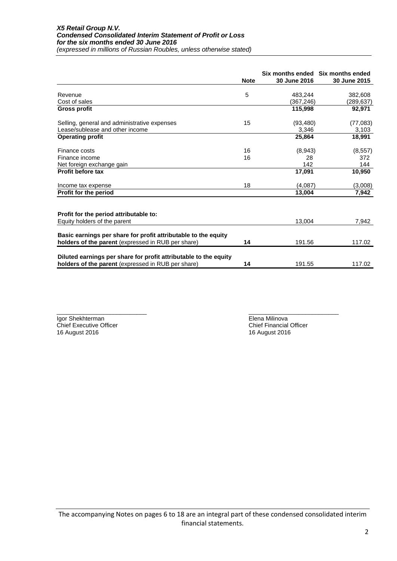|                                                                  | <b>Note</b> | Six months ended Six months ended<br>30 June 2016 | 30 June 2015 |
|------------------------------------------------------------------|-------------|---------------------------------------------------|--------------|
|                                                                  |             |                                                   |              |
| Revenue                                                          | 5           | 483,244                                           | 382,608      |
| Cost of sales                                                    |             | (367,246)                                         | (289,637)    |
| <b>Gross profit</b>                                              |             | 115,998                                           | 92,971       |
| Selling, general and administrative expenses                     | 15          | (93, 480)                                         | (77, 083)    |
| Lease/sublease and other income                                  |             | 3,346                                             | 3,103        |
| <b>Operating profit</b>                                          |             | 25,864                                            | 18,991       |
| Finance costs                                                    | 16          | (8,943)                                           | (8, 557)     |
| Finance income                                                   | 16          | 28                                                | 372          |
| Net foreign exchange gain                                        |             | 142                                               | 144          |
| <b>Profit before tax</b>                                         |             | 17,091                                            | 10,950       |
| Income tax expense                                               | 18          | (4,087)                                           | (3,008)      |
| Profit for the period                                            |             | 13,004                                            | 7,942        |
|                                                                  |             |                                                   |              |
| Profit for the period attributable to:                           |             | 13,004                                            | 7,942        |
| Equity holders of the parent                                     |             |                                                   |              |
| Basic earnings per share for profit attributable to the equity   |             |                                                   |              |
| holders of the parent (expressed in RUB per share)               | 14          | 191.56                                            | 117.02       |
| Diluted earnings per share for profit attributable to the equity |             |                                                   |              |
| holders of the parent (expressed in RUB per share)               | 14          | 191.55                                            | 117.02       |

Igor Shekhterman **Elena Milinova**<br>
Chief Executive Officer<br>
Chief Executive Officer Chief Executive Officer Chief Financial Officer Chief Financial Officer 16 August 2016 16 August 2016

\_\_\_\_\_\_\_\_\_\_\_\_\_\_\_\_\_\_\_\_\_\_\_\_\_\_\_ \_\_\_\_\_\_\_\_\_\_\_\_\_\_\_\_\_\_\_\_\_\_\_\_\_\_\_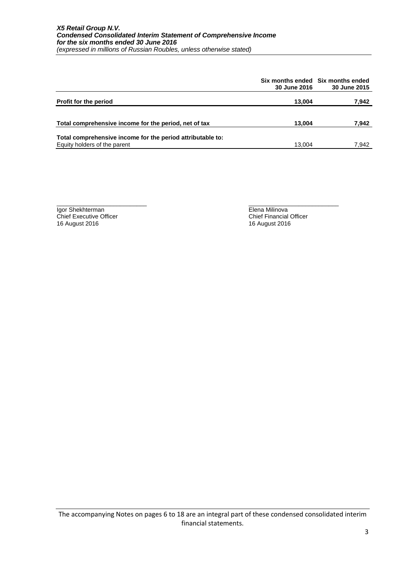|                                                                                            | 30 June 2016 | Six months ended Six months ended<br>30 June 2015 |
|--------------------------------------------------------------------------------------------|--------------|---------------------------------------------------|
| <b>Profit for the period</b>                                                               | 13.004       | 7,942                                             |
| Total comprehensive income for the period, net of tax                                      | 13,004       | 7,942                                             |
| Total comprehensive income for the period attributable to:<br>Equity holders of the parent | 13.004       | 7,942                                             |

\_\_\_\_\_\_\_\_\_\_\_\_\_\_\_\_\_\_\_\_\_\_\_\_\_\_\_ \_\_\_\_\_\_\_\_\_\_\_\_\_\_\_\_\_\_\_\_\_\_\_\_\_\_\_

Igor Shekhterman Elena Milinova and the Shekhterman Elena Milinova Chief Executive Officer Chief Financial Officer Chief Financial Officer 16 August 2016 16 August 2016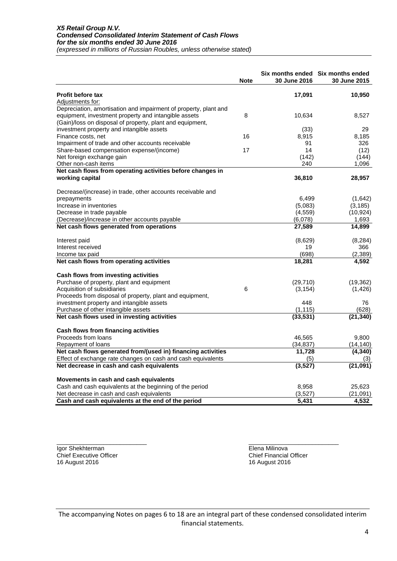|                                                                  | <b>Note</b> | 30 June 2016 | Six months ended Six months ended<br>30 June 2015 |
|------------------------------------------------------------------|-------------|--------------|---------------------------------------------------|
| <b>Profit before tax</b>                                         |             | 17,091       | 10,950                                            |
| Adjustments for:                                                 |             |              |                                                   |
| Depreciation, amortisation and impairment of property, plant and |             |              |                                                   |
| equipment, investment property and intangible assets             | 8           | 10,634       | 8,527                                             |
| (Gain)/loss on disposal of property, plant and equipment,        |             |              |                                                   |
| investment property and intangible assets                        |             | (33)         | 29                                                |
| Finance costs, net                                               | 16          | 8,915        | 8,185                                             |
| Impairment of trade and other accounts receivable                |             | 91           | 326                                               |
| Share-based compensation expense/(income)                        | 17          | 14           | (12)                                              |
| Net foreign exchange gain                                        |             | (142)        | (144)                                             |
| Other non-cash items                                             |             | 240          | 1,096                                             |
| Net cash flows from operating activities before changes in       |             |              |                                                   |
| working capital                                                  |             | 36,810       | 28,957                                            |
| Decrease/(increase) in trade, other accounts receivable and      |             |              |                                                   |
| prepayments                                                      |             | 6,499        | (1,642)                                           |
| Increase in inventories                                          |             | (5,083)      | (3, 185)                                          |
| Decrease in trade payable                                        |             | (4, 559)     | (10, 924)                                         |
| (Decrease)/increase in other accounts payable                    |             | (6,078)      | 1,693                                             |
| Net cash flows generated from operations                         |             | 27,589       | 14,899                                            |
| Interest paid                                                    |             | (8,629)      | (8, 284)                                          |
| Interest received                                                |             | 19           | 366                                               |
| Income tax paid                                                  |             | (698)        | (2, 389)                                          |
| Net cash flows from operating activities                         |             | 18,281       | 4,592                                             |
| Cash flows from investing activities                             |             |              |                                                   |
| Purchase of property, plant and equipment                        |             | (29,710)     | (19, 362)                                         |
| Acquisition of subsidiaries                                      | 6           | (3, 154)     | (1, 426)                                          |
| Proceeds from disposal of property, plant and equipment,         |             |              |                                                   |
| investment property and intangible assets                        |             | 448          | 76                                                |
| Purchase of other intangible assets                              |             | (1, 115)     | (628)                                             |
| Net cash flows used in investing activities                      |             | (33, 531)    | (21, 340)                                         |
| Cash flows from financing activities                             |             |              |                                                   |
| Proceeds from loans                                              |             | 46,565       | 9,800                                             |
| Repayment of loans                                               |             | (34, 837)    | (14, 140)                                         |
| Net cash flows generated from/(used in) financing activities     |             | 11,728       | (4, 340)                                          |
| Effect of exchange rate changes on cash and cash equivalents     |             | (5)          | (3)                                               |
| Net decrease in cash and cash equivalents                        |             | (3,527)      | (21, 091)                                         |
| Movements in cash and cash equivalents                           |             |              |                                                   |
| Cash and cash equivalents at the beginning of the period         |             | 8,958        | 25,623                                            |
| Net decrease in cash and cash equivalents                        |             | (3,527)      | (21,091)                                          |
| Cash and cash equivalents at the end of the period               |             | 5,431        | 4,532                                             |

Chief Executive Officer Chief Financial Chief Financial Chief Financial Chief Financial Chief Financial Chief Financial Chief Financial Chief Financial Chief Financial Chief Pinancial Chief Pinancial Chief Pinancial Chief 16 August 2016

\_\_\_\_\_\_\_\_\_\_\_\_\_\_\_\_\_\_\_\_\_\_\_\_\_\_\_ \_\_\_\_\_\_\_\_\_\_\_\_\_\_\_\_\_\_\_\_\_\_\_\_\_\_\_ Igor Shekhterman Elena Milinova<br>
Chief Executive Officer Chief Executive Officer

The accompanying Notes on pages 6 to 18 are an integral part of these condensed consolidated interim financial statements.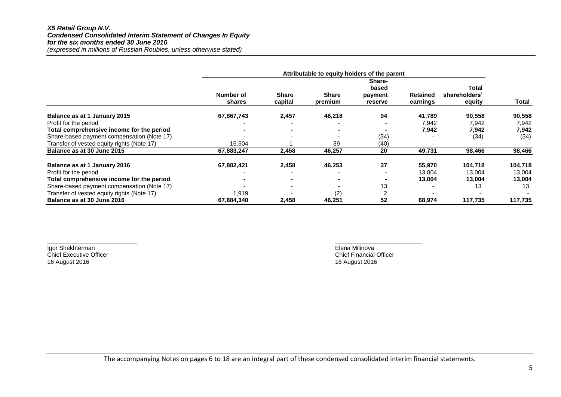#### *X5 Retail Group N.V. Condensed Consolidated Interim Statement of Changes In Equity for the six months ended 30 June 2016 (expressed in millions of Russian Roubles, unless otherwise stated)*

|                                            | Attributable to equity holders of the parent |                         |                  |                    |                      |                         |              |
|--------------------------------------------|----------------------------------------------|-------------------------|------------------|--------------------|----------------------|-------------------------|--------------|
|                                            |                                              |                         |                  | Share-<br>based    |                      | Total                   |              |
|                                            | Number of<br>shares                          | <b>Share</b><br>capital | Share<br>premium | payment<br>reserve | Retained<br>earnings | shareholders'<br>equity | <b>Total</b> |
| Balance as at 1 January 2015               | 67,867,743                                   | 2,457                   | 46,218           | 94                 | 41,789               | 90,558                  | 90,558       |
| Profit for the period                      |                                              |                         |                  |                    | 7.942                | 7,942                   | 7,942        |
| Total comprehensive income for the period  |                                              |                         |                  |                    | 7,942                | 7,942                   | 7,942        |
| Share-based payment compensation (Note 17) |                                              |                         |                  | (34)               |                      | (34)                    | (34)         |
| Transfer of vested equity rights (Note 17) | 15,504                                       |                         | 39               | (40)               |                      |                         |              |
| Balance as at 30 June 2015                 | 67,883,247                                   | 2,458                   | 46,257           | 20                 | 49,731               | 98,466                  | 98,466       |
| Balance as at 1 January 2016               | 67,882,421                                   | 2,458                   | 46,253           | 37                 | 55,970               | 104,718                 | 104,718      |
| Profit for the period                      |                                              |                         |                  |                    | 13,004               | 13,004                  | 13,004       |
| Total comprehensive income for the period  |                                              |                         |                  |                    | 13,004               | 13,004                  | 13,004       |
| Share-based payment compensation (Note 17) |                                              |                         |                  | 13                 |                      | 13                      | 13           |
| Transfer of vested equity rights (Note 17) | 1,919                                        |                         | (2)              |                    |                      |                         |              |
| Balance as at 30 June 2016                 | 67,884,340                                   | 2,458                   | 46,251           | 52                 | 68,974               | 117,735                 | 117,735      |

Chief Executive Officer<br>16 August 2016

 $\frac{1}{2}$  , the contribution of the contribution of the contribution of the contribution of the contribution of the contribution of the contribution of the contribution of the contribution of the contribution of the contr Igor Shekhterman **Igor Shekhterman** Elena Milinova<br>
Chief Executive Officer<br>
Chief Executive Officer 16 August 2016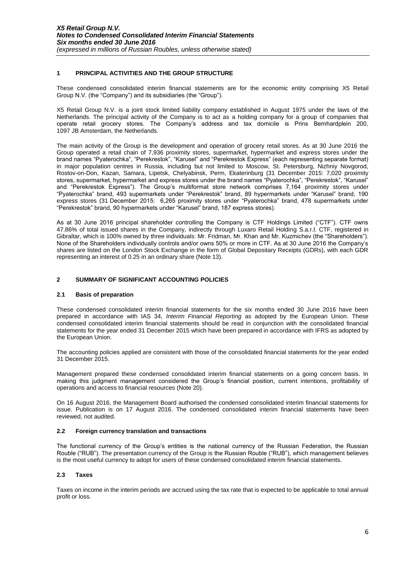## **1 PRINCIPAL ACTIVITIES AND THE GROUP STRUCTURE**

These condensed consolidated interim financial statements are for the economic entity comprising X5 Retail Group N.V. (the "Company") and its subsidiaries (the "Group").

X5 Retail Group N.V. is a joint stock limited liability company established in August 1975 under the laws of the Netherlands. The principal activity of the Company is to act as a holding company for a group of companies that operate retail grocery stores. The Company's address and tax domicile is Prins Bernhardplein 200, 1097 JB Amsterdam, the Netherlands.

The main activity of the Group is the development and operation of grocery retail stores. As at 30 June 2016 the Group operated a retail chain of 7,936 proximity stores, supermarket, hypermarket and express stores under the brand names "Pyaterochka", "Perekrestok", "Karusel" and "Perekrestok Express" (each representing separate format) in major population centres in Russia, including but not limited to Moscow, St. Petersburg, Nizhniy Novgorod, Rostov-on-Don, Kazan, Samara, Lipetsk, Chelyabinsk, Perm, Ekaterinburg (31 December 2015: 7,020 proximity stores, supermarket, hypermarket and express stores under the brand names "Pyaterochka", "Perekrestok", "Karusel" and "Perekrestok Express"). The Group's multiformat store network comprises 7,164 proximity stores under "Pyaterochka" brand, 493 supermarkets under "Perekrestok" brand, 89 hypermarkets under "Karusel" brand, 190 express stores (31 December 2015: 6,265 proximity stores under "Pyaterochka" brand, 478 supermarkets under "Perekrestok" brand, 90 hypermarkets under "Karusel" brand, 187 express stores).

As at 30 June 2016 principal shareholder controlling the Company is CTF Holdings Limited ("CTF"). CTF owns 47.86% of total issued shares in the Company, indirectly through Luxaro Retail Holding S.a.r.l. CTF, registered in Gibraltar, which is 100% owned by three individuals: Mr. Fridman, Mr. Khan and Mr. Kuzmichev (the "Shareholders"). None of the Shareholders individually controls and/or owns 50% or more in CTF. As at 30 June 2016 the Company's shares are listed on the London Stock Exchange in the form of Global Depositary Receipts (GDRs), with each GDR representing an interest of 0.25 in an ordinary share (Note 13).

# **2 SUMMARY OF SIGNIFICANT ACCOUNTING POLICIES**

#### **2.1 Basis of preparation**

These condensed consolidated interim financial statements for the six months ended 30 June 2016 have been prepared in accordance with IAS 34, *Interim Financial Reporting* as adopted by the European Union. These condensed consolidated interim financial statements should be read in conjunction with the consolidated financial statements for the year ended 31 December 2015 which have been prepared in accordance with IFRS as adopted by the European Union.

The accounting policies applied are consistent with those of the consolidated financial statements for the year ended 31 December 2015.

Management prepared these condensed consolidated interim financial statements on a going concern basis. In making this judgment management considered the Group's financial position, current intentions, profitability of operations and access to financial resources (Note 20).

On 16 August 2016, the Management Board authorised the condensed consolidated interim financial statements for issue. Publication is on 17 August 2016. The condensed consolidated interim financial statements have been reviewed, not audited.

#### **2.2 Foreign currency translation and transactions**

The functional currency of the Group's entities is the national currency of the Russian Federation, the Russian Rouble ("RUB"). The presentation currency of the Group is the Russian Rouble ("RUB"), which management believes is the most useful currency to adopt for users of these condensed consolidated interim financial statements.

# **2.3 Taxes**

Taxes on income in the interim periods are accrued using the tax rate that is expected to be applicable to total annual profit or loss.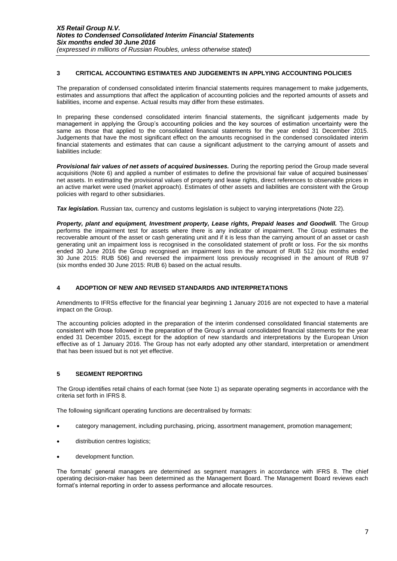## **3 CRITICAL ACCOUNTING ESTIMATES AND JUDGEMENTS IN APPLYING ACCOUNTING POLICIES**

The preparation of condensed consolidated interim financial statements requires management to make judgements, estimates and assumptions that affect the application of accounting policies and the reported amounts of assets and liabilities, income and expense. Actual results may differ from these estimates.

In preparing these condensed consolidated interim financial statements, the significant judgements made by management in applying the Group's accounting policies and the key sources of estimation uncertainty were the same as those that applied to the consolidated financial statements for the year ended 31 December 2015. Judgements that have the most significant effect on the amounts recognised in the condensed consolidated interim financial statements and estimates that can cause a significant adjustment to the carrying amount of assets and liabilities include:

*Provisional fair values of net assets of acquired businesses.* During the reporting period the Group made several acquisitions (Note 6) and applied a number of estimates to define the provisional fair value of acquired businesses' net assets. In estimating the provisional values of property and lease rights, direct references to observable prices in an active market were used (market approach). Estimates of other assets and liabilities are consistent with the Group policies with regard to other subsidiaries.

**Tax legislation.** Russian tax, currency and customs legislation is subject to varying interpretations (Note 22).

*Property, plant and equipment, Investment property, Lease rights, Prepaid leases and Goodwill.* The Group performs the impairment test for assets where there is any indicator of impairment. The Group estimates the recoverable amount of the asset or cash generating unit and if it is less than the carrying amount of an asset or cash generating unit an impairment loss is recognised in the consolidated statement of profit or loss. For the six months ended 30 June 2016 the Group recognised an impairment loss in the amount of RUB 512 (six months ended 30 June 2015: RUB 506) and reversed the impairment loss previously recognised in the amount of RUB 97 (six months ended 30 June 2015: RUB 6) based on the actual results.

# **4 ADOPTION OF NEW AND REVISED STANDARDS AND INTERPRETATIONS**

Amendments to IFRSs effective for the financial year beginning 1 January 2016 are not expected to have a material impact on the Group.

The accounting policies adopted in the preparation of the interim condensed consolidated financial statements are consistent with those followed in the preparation of the Group's annual consolidated financial statements for the year ended 31 December 2015, except for the adoption of new standards and interpretations by the European Union effective as of 1 January 2016. The Group has not early adopted any other standard, interpretation or amendment that has been issued but is not yet effective.

# **5 SEGMENT REPORTING**

The Group identifies retail chains of each format (see Note 1) as separate operating segments in accordance with the criteria set forth in IFRS 8.

The following significant operating functions are decentralised by formats:

- category management, including purchasing, pricing, assortment management, promotion management;
- distribution centres logistics;
- development function.

The formats' general managers are determined as segment managers in accordance with IFRS 8. The chief operating decision-maker has been determined as the Management Board. The Management Board reviews each format's internal reporting in order to assess performance and allocate resources.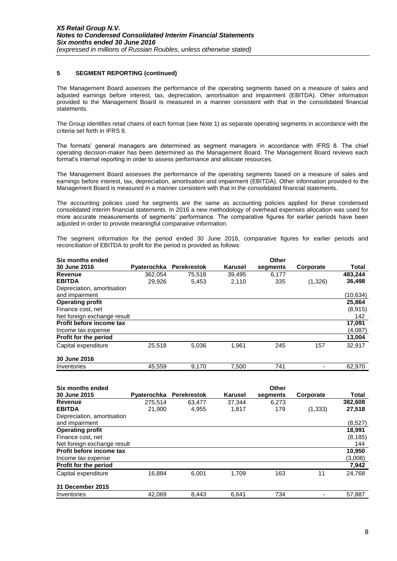## **5 SEGMENT REPORTING (continued)**

The Management Board assesses the performance of the operating segments based on a measure of sales and adjusted earnings before interest, tax, depreciation, amortisation and impairment (EBITDA). Other information provided to the Management Board is measured in a manner consistent with that in the consolidated financial statements.

The Group identifies retail chains of each format (see Note 1) as separate operating segments in accordance with the criteria set forth in IFRS 8.

The formats' general managers are determined as segment managers in accordance with IFRS 8. The chief operating decision-maker has been determined as the Management Board. The Management Board reviews each format's internal reporting in order to assess performance and allocate resources.

The Management Board assesses the performance of the operating segments based on a measure of sales and earnings before interest, tax, depreciation, amortisation and impairment (EBITDA). Other information provided to the Management Board is measured in a manner consistent with that in the consolidated financial statements.

The accounting policies used for segments are the same as accounting policies applied for these condensed consolidated interim financial statements. In 2016 a new methodology of overhead expenses allocation was used for more accurate measurements of segments' performance. The comparative figures for earlier periods have been adjusted in order to provide meaningful comparative information.

The segment information for the period ended 30 June 2016, comparative figures for earlier periods and reconciliation of EBITDA to profit for the period is provided as follows:

| Six months ended            |             |                    |         | Other    |           |           |
|-----------------------------|-------------|--------------------|---------|----------|-----------|-----------|
| 30 June 2016                | Pyaterochka | <b>Perekrestok</b> | Karusel | segments | Corporate | Total     |
| Revenue                     | 362,054     | 75,518             | 39,495  | 6,177    |           | 483,244   |
| <b>EBITDA</b>               | 29.926      | 5,453              | 2,110   | 335      | (1,326)   | 36,498    |
| Depreciation, amortisation  |             |                    |         |          |           |           |
| and impairment              |             |                    |         |          |           | (10, 634) |
| <b>Operating profit</b>     |             |                    |         |          |           | 25,864    |
| Finance cost, net           |             |                    |         |          |           | (8,915)   |
| Net foreign exchange result |             |                    |         |          |           | 142       |
| Profit before income tax    |             |                    |         |          |           | 17.091    |
| Income tax expense          |             |                    |         |          |           | (4,087)   |
| Profit for the period       |             |                    |         |          |           | 13,004    |
| Capital expenditure         | 25,518      | 5,036              | 1.961   | 245      | 157       | 32,917    |
| 30 June 2016                |             |                    |         |          |           |           |
| Inventories                 | 45.559      | 9.170              | 7.500   | 741      |           | 62,970    |

| Six months ended             |             |                    |                | Other    |           |          |
|------------------------------|-------------|--------------------|----------------|----------|-----------|----------|
| 30 June 2015                 | Pyaterochka | <b>Perekrestok</b> | <b>Karusel</b> | segments | Corporate | Total    |
| Revenue                      | 275.514     | 63.477             | 37.344         | 6.273    |           | 382,608  |
| <b>EBITDA</b>                | 21.900      | 4.955              | 1,817          | 179      | (1, 333)  | 27,518   |
| Depreciation, amortisation   |             |                    |                |          |           |          |
| and impairment               |             |                    |                |          |           | (8,527)  |
| <b>Operating profit</b>      |             |                    |                |          |           | 18,991   |
| Finance cost, net            |             |                    |                |          |           | (8, 185) |
| Net foreign exchange result  |             |                    |                |          |           | 144      |
| Profit before income tax     |             |                    |                |          |           | 10,950   |
| Income tax expense           |             |                    |                |          |           | (3,008)  |
| <b>Profit for the period</b> |             |                    |                |          |           | 7,942    |
| Capital expenditure          | 16,884      | 6.001              | 1.709          | 163      | 11        | 24.768   |
| 31 December 2015             |             |                    |                |          |           |          |
| Inventories                  | 42,069      | 8,443              | 6,641          | 734      |           | 57,887   |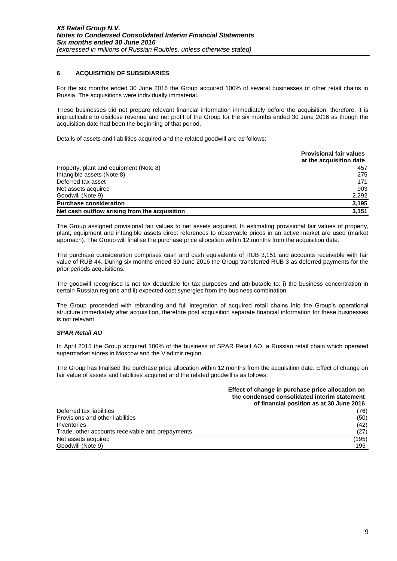# **6 ACQUISITION OF SUBSIDIARIES**

For the six months ended 30 June 2016 the Group acquired 100% of several businesses of other retail chains in Russia. The acquisitions were individually immaterial.

These businesses did not prepare relevant financial information immediately before the acquisition, therefore, it is impracticable to disclose revenue and net profit of the Group for the six months ended 30 June 2016 as though the acquisition date had been the beginning of that period.

Details of assets and liabilities acquired and the related goodwill are as follows:

|                                               | <b>Provisional fair values</b><br>at the acquisition date |
|-----------------------------------------------|-----------------------------------------------------------|
| Property, plant and equipment (Note 8)        | 457                                                       |
| Intangible assets (Note 8)                    | 275                                                       |
| Deferred tax asset                            | 171                                                       |
| Net assets acquired                           | 903                                                       |
| Goodwill (Note 9)                             | 2,292                                                     |
| <b>Purchase consideration</b>                 | 3,195                                                     |
| Net cash outflow arising from the acquisition | 3,151                                                     |

The Group assigned provisional fair values to net assets acquired. In estimating provisional fair values of property, plant, equipment and intangible assets direct references to observable prices in an active market are used (market approach). The Group will finalise the purchase price allocation within 12 months from the acquisition date.

The purchase consideration comprises cash and cash equivalents of RUB 3,151 and accounts receivable with fair value of RUB 44. During six months ended 30 June 2016 the Group transferred RUB 3 as deferred payments for the prior periods acquisitions.

The goodwill recognised is not tax deductible for tax purposes and attributable to: i) the business concentration in certain Russian regions and ii) expected cost synergies from the business combination.

The Group proceeded with rebranding and full integration of acquired retail chains into the Group's operational structure immediately after acquisition, therefore post acquisition separate financial information for these businesses is not relevant.

# *SPAR Retail AO*

In April 2015 the Group acquired 100% of the business of SPAR Retail AO, a Russian retail chain which operated supermarket stores in Moscow and the Vladimir region.

The Group has finalised the purchase price allocation within 12 months from the acquisition date. Effect of change on fair value of assets and liabilities acquired and the related goodwill is as follows:

#### **Effect of change in purchase price allocation on the condensed consolidated interim statement of financial position as at 30 June 2016**

| Deferred tax liabilities                         | (76)  |
|--------------------------------------------------|-------|
| Provisions and other liabilities                 | (50)  |
| Inventories                                      | (42)  |
| Trade, other accounts receivable and prepayments | (27)  |
| Net assets acquired                              | (195) |
| Goodwill (Note 9)                                | 195   |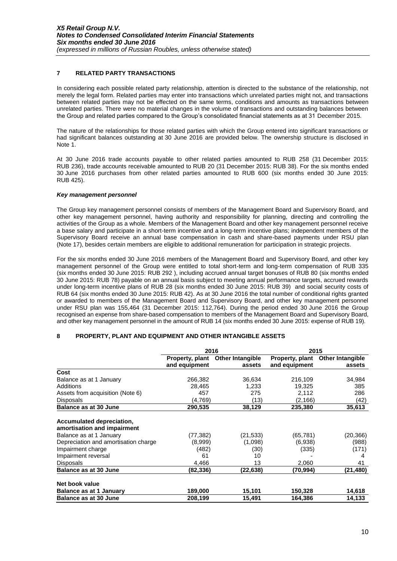# **7 RELATED PARTY TRANSACTIONS**

In considering each possible related party relationship, attention is directed to the substance of the relationship, not merely the legal form. Related parties may enter into transactions which unrelated parties might not, and transactions between related parties may not be effected on the same terms, conditions and amounts as transactions between unrelated parties. There were no material changes in the volume of transactions and outstanding balances between the Group and related parties compared to the Group's consolidated financial statements as at 31 December 2015.

The nature of the relationships for those related parties with which the Group entered into significant transactions or had significant balances outstanding at 30 June 2016 are provided below. The ownership structure is disclosed in Note 1.

At 30 June 2016 trade accounts payable to other related parties amounted to RUB 258 (31 December 2015: RUB 236), trade accounts receivable amounted to RUB 20 (31 December 2015: RUB 38). For the six months ended 30 June 2016 purchases from other related parties amounted to RUB 600 (six months ended 30 June 2015: RUB 425).

## *Key management personnel*

The Group key management personnel consists of members of the Management Board and Supervisory Board, and other key management personnel, having authority and responsibility for planning, directing and controlling the activities of the Group as a whole. Members of the Management Board and other key management personnel receive a base salary and participate in a short-term incentive and a long-term incentive plans; independent members of the Supervisory Board receive an annual base compensation in cash and share-based payments under RSU plan (Note 17), besides certain members are eligible to additional remuneration for participation in strategic projects.

For the six months ended 30 June 2016 members of the Management Board and Supervisory Board, and other key management personnel of the Group were entitled to total short-term and long-term compensation of RUB 335 (six months ended 30 June 2015: RUB 292 ), including accrued annual target bonuses of RUB 80 (six months ended 30 June 2015: RUB 78) payable on an annual basis subject to meeting annual performance targets, accrued rewards under long-term incentive plans of RUB 28 (six months ended 30 June 2015: RUB 39) and social security costs of RUB 64 (six months ended 30 June 2015: RUB 42). As at 30 June 2016 the total number of conditional rights granted or awarded to members of the Management Board and Supervisory Board, and other key management personnel under RSU plan was 155,464 (31 December 2015: 112,764). During the period ended 30 June 2016 the Group recognised an expense from share-based compensation to members of the Management Board and Supervisory Board, and other key management personnel in the amount of RUB 14 (six months ended 30 June 2015: expense of RUB 19).

# **8 PROPERTY, PLANT AND EQUIPMENT AND OTHER INTANGIBLE ASSETS**

|                                                          | 2016                             |                                   | 2015                             |                                   |  |
|----------------------------------------------------------|----------------------------------|-----------------------------------|----------------------------------|-----------------------------------|--|
|                                                          | Property, plant<br>and equipment | <b>Other Intangible</b><br>assets | Property, plant<br>and equipment | <b>Other Intangible</b><br>assets |  |
| Cost                                                     |                                  |                                   |                                  |                                   |  |
| Balance as at 1 January                                  | 266,382                          | 36,634                            | 216,109                          | 34,984                            |  |
| Additions                                                | 28,465                           | 1,233                             | 19,325                           | 385                               |  |
| Assets from acquisition (Note 6)                         | 457                              | 275                               | 2,112                            | 286                               |  |
| <b>Disposals</b>                                         | (4,769)                          | (13)                              | (2,166)                          | (42)                              |  |
| <b>Balance as at 30 June</b>                             | 290,535                          | 38,129                            | 235,380                          | 35,613                            |  |
| Accumulated depreciation,<br>amortisation and impairment |                                  |                                   |                                  |                                   |  |
| Balance as at 1 January                                  | (77,382)                         | (21, 533)                         | (65, 781)                        | (20,366)                          |  |
| Depreciation and amortisation charge                     | (8,999)                          | (1,098)                           | (6,938)                          | (988)                             |  |
| Impairment charge                                        | (482)                            | (30)                              | (335)                            | (171)                             |  |
| Impairment reversal                                      | 61                               | 10                                |                                  | 4                                 |  |
| Disposals                                                | 4,466                            | 13                                | 2,060                            | 41                                |  |
| <b>Balance as at 30 June</b>                             | (82,336)                         | (22,638)                          | (70,994)                         | (21,480)                          |  |
| Net book value                                           |                                  |                                   |                                  |                                   |  |
| Balance as at 1 January                                  | 189,000                          | 15,101                            | 150,328                          | 14,618                            |  |
| Balance as at 30 June                                    | 208,199                          | 15,491                            | 164,386                          | 14,133                            |  |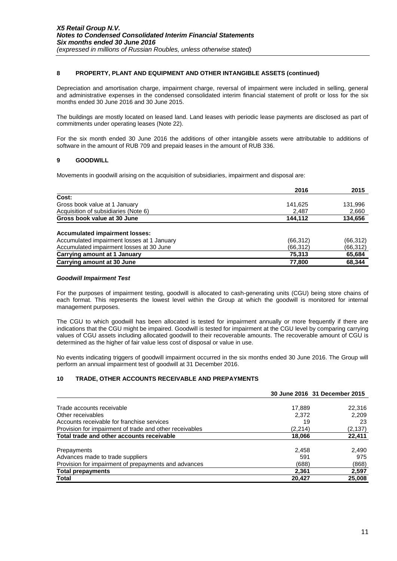## **8 PROPERTY, PLANT AND EQUIPMENT AND OTHER INTANGIBLE ASSETS (continued)**

Depreciation and amortisation charge, impairment charge, reversal of impairment were included in selling, general and administrative expenses in the condensed consolidated interim financial statement of profit or loss for the six months ended 30 June 2016 and 30 June 2015.

The buildings are mostly located on leased land. Land leases with periodic lease payments are disclosed as part of commitments under operating leases (Note 22).

For the six month ended 30 June 2016 the additions of other intangible assets were attributable to additions of software in the amount of RUB 709 and prepaid leases in the amount of RUB 336.

## **9 GOODWILL**

Movements in goodwill arising on the acquisition of subsidiaries, impairment and disposal are:

|                                            | 2016      | 2015      |
|--------------------------------------------|-----------|-----------|
| Cost:                                      |           |           |
| Gross book value at 1 January              | 141,625   | 131,996   |
| Acquisition of subsidiaries (Note 6)       | 2,487     | 2,660     |
| Gross book value at 30 June                | 144.112   | 134,656   |
| <b>Accumulated impairment losses:</b>      |           |           |
| Accumulated impairment losses at 1 January | (66, 312) | (66, 312) |
| Accumulated impairment losses at 30 June   | (66,312)  | (66, 312) |
| <b>Carrying amount at 1 January</b>        | 75.313    | 65,684    |
| <b>Carrying amount at 30 June</b>          | 77,800    | 68,344    |

#### *Goodwill Impairment Test*

For the purposes of impairment testing, goodwill is allocated to cash-generating units (CGU) being store chains of each format. This represents the lowest level within the Group at which the goodwill is monitored for internal management purposes.

The CGU to which goodwill has been allocated is tested for impairment annually or more frequently if there are indications that the CGU might be impaired. Goodwill is tested for impairment at the CGU level by comparing carrying values of CGU assets including allocated goodwill to their recoverable amounts. The recoverable amount of CGU is determined as the higher of fair value less cost of disposal or value in use.

No events indicating triggers of goodwill impairment occurred in the six months ended 30 June 2016. The Group will perform an annual impairment test of goodwill at 31 December 2016.

# **10 TRADE, OTHER ACCOUNTS RECEIVABLE AND PREPAYMENTS**

|                                                         |         | 30 June 2016 31 December 2015 |
|---------------------------------------------------------|---------|-------------------------------|
|                                                         |         |                               |
| Trade accounts receivable                               | 17,889  | 22,316                        |
| Other receivables                                       | 2.372   | 2,209                         |
| Accounts receivable for franchise services              | 19      | 23                            |
| Provision for impairment of trade and other receivables | (2,214) | (2,137)                       |
| Total trade and other accounts receivable               | 18,066  | 22,411                        |
| Prepayments                                             | 2,458   | 2,490                         |
|                                                         | 591     | 975                           |
| Advances made to trade suppliers                        |         |                               |
| Provision for impairment of prepayments and advances    | (688)   | (868)                         |
| <b>Total prepayments</b>                                | 2.361   | 2,597                         |
| Total                                                   | 20,427  | 25,008                        |
|                                                         |         |                               |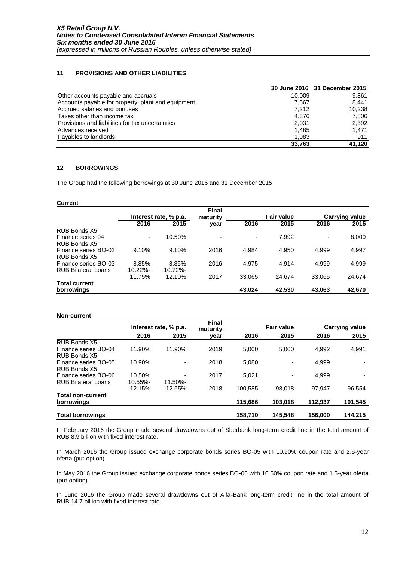# **11 PROVISIONS AND OTHER LIABILITIES**

|                                                    |        | 30 June 2016 31 December 2015 |
|----------------------------------------------------|--------|-------------------------------|
| Other accounts payable and accruals                | 10.009 | 9.861                         |
| Accounts payable for property, plant and equipment | 7.567  | 8.441                         |
| Accrued salaries and bonuses                       | 7.212  | 10.238                        |
| Taxes other than income tax                        | 4.376  | 7.806                         |
| Provisions and liabilities for tax uncertainties   | 2.031  | 2.392                         |
| Advances received                                  | 1.485  | 1.471                         |
| Payables to landlords                              | 1,083  | 911                           |
|                                                    | 33.763 | 41.120                        |

# **12 BORROWINGS**

The Group had the following borrowings at 30 June 2016 and 31 December 2015

#### **Current**

|                            |                       |         | <b>Final</b>             |                |                   |        |                       |  |
|----------------------------|-----------------------|---------|--------------------------|----------------|-------------------|--------|-----------------------|--|
|                            | Interest rate, % p.a. |         | maturity                 |                | <b>Fair value</b> |        | <b>Carrying value</b> |  |
|                            | 2016                  | 2015    | year                     | 2016           | 2015              | 2016   | 2015                  |  |
| RUB Bonds X5               |                       |         |                          |                |                   |        |                       |  |
| Finance series 04          | ۰                     | 10.50%  | $\overline{\phantom{0}}$ | $\blacksquare$ | 7,992             |        | 8,000                 |  |
| RUB Bonds X5               |                       |         |                          |                |                   |        |                       |  |
| Finance series BO-02       | 9.10%                 | 9.10%   | 2016                     | 4.984          | 4.950             | 4.999  | 4,997                 |  |
| RUB Bonds X5               |                       |         |                          |                |                   |        |                       |  |
| Finance series BO-03       | 8.85%                 | 8.85%   | 2016                     | 4.975          | 4.914             | 4.999  | 4,999                 |  |
| <b>RUB Bilateral Loans</b> | $10.22% -$            | 10.72%- |                          |                |                   |        |                       |  |
|                            | 11.75%                | 12.10%  | 2017                     | 33,065         | 24.674            | 33,065 | 24,674                |  |
| <b>Total current</b>       |                       |         |                          |                |                   |        |                       |  |
| borrowings                 |                       |         |                          | 43.024         | 42,530            | 43,063 | 42,670                |  |

#### **Non-current**

|                                                    | Interest rate, % p.a. |         | <b>Final</b><br>maturity |         | <b>Fair value</b> |         | <b>Carrying value</b> |  |
|----------------------------------------------------|-----------------------|---------|--------------------------|---------|-------------------|---------|-----------------------|--|
|                                                    | 2016                  | 2015    | year                     | 2016    | 2015              | 2016    | 2015                  |  |
| RUB Bonds X5                                       |                       |         |                          |         |                   |         |                       |  |
| Finance series BO-04<br>RUB Bonds X5               | 11.90%                | 11.90%  | 2019                     | 5.000   | 5.000             | 4,992   | 4,991                 |  |
| Finance series BO-05<br>RUB Bonds X5               | 10.90%                |         | 2018                     | 5,080   | ۰                 | 4,999   |                       |  |
| Finance series BO-06<br><b>RUB Bilateral Loans</b> | 10.50%<br>10.55%-     | 11.50%- | 2017                     | 5,021   | ۰                 | 4.999   |                       |  |
|                                                    | 12.15%                | 12.65%  | 2018                     | 100.585 | 98.018            | 97.947  | 96,554                |  |
| <b>Total non-current</b><br>borrowings             |                       |         |                          | 115,686 | 103,018           | 112,937 | 101,545               |  |
| <b>Total borrowings</b>                            |                       |         |                          | 158.710 | 145.548           | 156.000 | 144.215               |  |

In February 2016 the Group made several drawdowns out of Sberbank long-term credit line in the total amount of RUB 8.9 billion with fixed interest rate.

In March 2016 the Group issued exchange corporate bonds series BO-05 with 10.90% coupon rate and 2.5-year oferta (put-option).

In May 2016 the Group issued exchange corporate bonds series BO-06 with 10.50% coupon rate and 1.5-year oferta (put-option).

In June 2016 the Group made several drawdowns out of Alfa-Bank long-term credit line in the total amount of RUB 14.7 billion with fixed interest rate.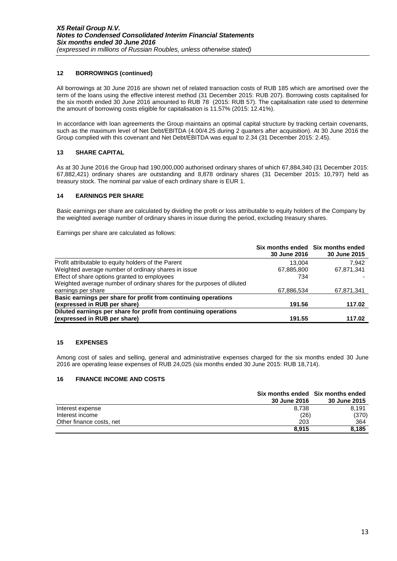# **12 BORROWINGS (continued)**

All borrowings at 30 June 2016 are shown net of related transaction costs of RUB 185 which are amortised over the term of the loans using the effective interest method (31 December 2015: RUB 207). Borrowing costs capitalised for the six month ended 30 June 2016 amounted to RUB 78 (2015: RUB 57). The capitalisation rate used to determine the amount of borrowing costs eligible for capitalisation is 11.57% (2015: 12.41%).

In accordance with loan agreements the Group maintains an optimal capital structure by tracking certain covenants, such as the maximum level of Net Debt/EBITDA (4.00/4.25 during 2 quarters after acquisition). At 30 June 2016 the Group complied with this covenant and Net Debt/EBITDA was equal to 2.34 (31 December 2015: 2.45).

# **13 SHARE CAPITAL**

As at 30 June 2016 the Group had 190,000,000 authorised ordinary shares of which 67,884,340 (31 December 2015: 67,882,421) ordinary shares are outstanding and 8,878 ordinary shares (31 December 2015: 10,797) held as treasury stock. The nominal par value of each ordinary share is EUR 1.

# **14 EARNINGS PER SHARE**

Basic earnings per share are calculated by dividing the profit or loss attributable to equity holders of the Company by the weighted average number of ordinary shares in issue during the period, excluding treasury shares.

Earnings per share are calculated as follows:

|                                                                        |              | Six months ended Six months ended |
|------------------------------------------------------------------------|--------------|-----------------------------------|
|                                                                        | 30 June 2016 | 30 June 2015                      |
| Profit attributable to equity holders of the Parent                    | 13.004       | 7.942                             |
| Weighted average number of ordinary shares in issue                    | 67,885,800   | 67,871,341                        |
| Effect of share options granted to employees                           | 734          |                                   |
| Weighted average number of ordinary shares for the purposes of diluted |              |                                   |
| earnings per share                                                     | 67,886,534   | 67,871,341                        |
| Basic earnings per share for profit from continuing operations         |              |                                   |
| (expressed in RUB per share)                                           | 191.56       | 117.02                            |
| Diluted earnings per share for profit from continuing operations       |              |                                   |
| (expressed in RUB per share)                                           | 191.55       | 117.02                            |

# **15 EXPENSES**

Among cost of sales and selling, general and administrative expenses charged for the six months ended 30 June 2016 are operating lease expenses of RUB 24,025 (six months ended 30 June 2015: RUB 18,714).

# **16 FINANCE INCOME AND COSTS**

|                          | Six months ended Six months ended |              |  |
|--------------------------|-----------------------------------|--------------|--|
|                          | <b>30 June 2016</b>               | 30 June 2015 |  |
| Interest expense         | 8.738                             | 8.191        |  |
| Interest income          | (26)                              | (370)        |  |
| Other finance costs, net | 203                               | 364          |  |
|                          | 8.915                             | 8.185        |  |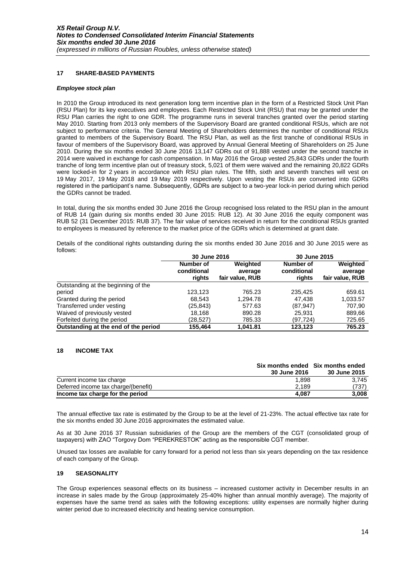## **17 SHARE-BASED PAYMENTS**

#### *Employee stock plan*

In 2010 the Group introduced its next generation long term incentive plan in the form of a Restricted Stock Unit Plan (RSU Plan) for its key executives and employees. Each Restricted Stock Unit (RSU) that may be granted under the RSU Plan carries the right to one GDR. The programme runs in several tranches granted over the period starting May 2010. Starting from 2013 only members of the Supervisory Board are granted conditional RSUs, which are not subject to performance criteria. The General Meeting of Shareholders determines the number of conditional RSUs granted to members of the Supervisory Board. The RSU Plan, as well as the first tranche of conditional RSUs in favour of members of the Supervisory Board, was approved by Annual General Meeting of Shareholders on 25 June 2010. During the six months ended 30 June 2016 13,147 GDRs out of 91,888 vested under the second tranche in 2014 were waived in exchange for cash compensation. In May 2016 the Group vested 25,843 GDRs under the fourth tranche of long term incentive plan out of treasury stock, 5,021 of them were waived and the remaining 20,822 GDRs were locked-in for 2 years in accordance with RSU plan rules. The fifth, sixth and seventh tranches will vest on 19 May 2017, 19 May 2018 and 19 May 2019 respectively. Upon vesting the RSUs are converted into GDRs registered in the participant's name. Subsequently, GDRs are subject to a two-year lock-in period during which period the GDRs cannot be traded.

In total, during the six months ended 30 June 2016 the Group recognised loss related to the RSU plan in the amount of RUB 14 (gain during six months ended 30 June 2015: RUB 12). At 30 June 2016 the equity component was RUB 52 (31 December 2015: RUB 37). The fair value of services received in return for the conditional RSUs granted to employees is measured by reference to the market price of the GDRs which is determined at grant date.

Details of the conditional rights outstanding during the six months ended 30 June 2016 and 30 June 2015 were as follows:

|                                      | 30 June 2016                       |                                        | 30 June 2015                       |                                        |  |
|--------------------------------------|------------------------------------|----------------------------------------|------------------------------------|----------------------------------------|--|
|                                      | Number of<br>conditional<br>rights | Weighted<br>average<br>fair value, RUB | Number of<br>conditional<br>rights | Weighted<br>average<br>fair value, RUB |  |
| Outstanding at the beginning of the  |                                    |                                        |                                    |                                        |  |
| period                               | 123.123                            | 765.23                                 | 235,425                            | 659.61                                 |  |
| Granted during the period            | 68.543                             | 1.294.78                               | 47.438                             | 1,033.57                               |  |
| Transferred under vesting            | (25, 843)                          | 577.63                                 | (87, 947)                          | 707,90                                 |  |
| Waived of previously vested          | 18.168                             | 890.28                                 | 25.931                             | 889,66                                 |  |
| Forfeited during the period          | (28,527)                           | 785.33                                 | (97.724)                           | 725.65                                 |  |
| Outstanding at the end of the period | 155.464                            | 1.041.81                               | 123.123                            | 765.23                                 |  |

#### **18 INCOME TAX**

|                                      | Six months ended Six months ended |              |
|--------------------------------------|-----------------------------------|--------------|
|                                      | <b>30 June 2016</b>               | 30 June 2015 |
| Current income tax charge            | 1.898                             | 3.745        |
| Deferred income tax charge/(benefit) | 2.189                             | (737)        |
| Income tax charge for the period     | 4.087                             | 3,008        |

The annual effective tax rate is estimated by the Group to be at the level of 21-23%. The actual effective tax rate for the six months ended 30 June 2016 approximates the estimated value.

As at 30 June 2016 37 Russian subsidiaries of the Group are the members of the CGT (consolidated group of taxpayers) with ZAO "Torgovy Dom "PEREKRESTOK" acting as the responsible CGT member.

Unused tax losses are available for carry forward for a period not less than six years depending on the tax residence of each company of the Group.

#### **19 SEASONALITY**

The Group experiences seasonal effects on its business – increased customer activity in December results in an increase in sales made by the Group (approximately 25-40% higher than annual monthly average). The majority of expenses have the same trend as sales with the following exceptions: utility expenses are normally higher during winter period due to increased electricity and heating service consumption.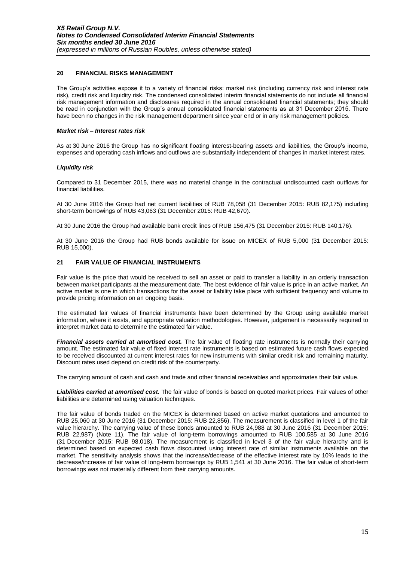## **20 FINANCIAL RISKS MANAGEMENT**

The Group's activities expose it to a variety of financial risks: market risk (including currency risk and interest rate risk), credit risk and liquidity risk. The condensed consolidated interim financial statements do not include all financial risk management information and disclosures required in the annual consolidated financial statements; they should be read in conjunction with the Group's annual consolidated financial statements as at 31 December 2015. There have been no changes in the risk management department since year end or in any risk management policies.

#### *Market risk – Interest rates risk*

As at 30 June 2016 the Group has no significant floating interest-bearing assets and liabilities, the Group's income, expenses and operating cash inflows and outflows are substantially independent of changes in market interest rates.

## *Liquidity risk*

Compared to 31 December 2015, there was no material change in the contractual undiscounted cash outflows for financial liabilities.

At 30 June 2016 the Group had net current liabilities of RUB 78,058 (31 December 2015: RUB 82,175) including short-term borrowings of RUB 43,063 (31 December 2015: RUB 42,670).

At 30 June 2016 the Group had available bank credit lines of RUB 156,475 (31 December 2015: RUB 140,176).

At 30 June 2016 the Group had RUB bonds available for issue on MICEX of RUB 5,000 (31 December 2015: RUB 15,000).

## **21 FAIR VALUE OF FINANCIAL INSTRUMENTS**

Fair value is the price that would be received to sell an asset or paid to transfer a liability in an orderly transaction between market participants at the measurement date. The best evidence of fair value is price in an active market. An active market is one in which transactions for the asset or liability take place with sufficient frequency and volume to provide pricing information on an ongoing basis.

The estimated fair values of financial instruments have been determined by the Group using available market information, where it exists, and appropriate valuation methodologies. However, judgement is necessarily required to interpret market data to determine the estimated fair value.

*Financial assets carried at amortised cost.* The fair value of floating rate instruments is normally their carrying amount. The estimated fair value of fixed interest rate instruments is based on estimated future cash flows expected to be received discounted at current interest rates for new instruments with similar credit risk and remaining maturity. Discount rates used depend on credit risk of the counterparty.

The carrying amount of cash and cash and trade and other financial receivables and approximates their fair value.

*Liabilities carried at amortised cost.* The fair value of bonds is based on quoted market prices. Fair values of other liabilities are determined using valuation techniques.

The fair value of bonds traded on the MICEX is determined based on active market quotations and amounted to RUB 25,060 at 30 June 2016 (31 December 2015: RUB 22,856). The measurement is classified in level 1 of the fair value hierarchy. The carrying value of these bonds amounted to RUB 24,988 at 30 June 2016 (31 December 2015: RUB 22,987) (Note 11). The fair value of long-term borrowings amounted to RUB 100,585 at 30 June 2016 (31 December 2015: RUB 98,018). The measurement is classified in level 3 of the fair value hierarchy and is determined based on expected cash flows discounted using interest rate of similar instruments available on the market. The sensitivity analysis shows that the increase/decrease of the effective interest rate by 10% leads to the decrease/increase of fair value of long-term borrowings by RUB 1,541 at 30 June 2016. The fair value of short-term borrowings was not materially different from their carrying amounts.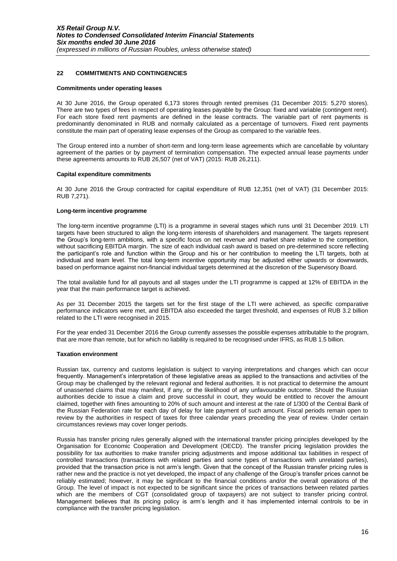## **22 COMMITMENTS AND CONTINGENCIES**

#### **Commitments under operating leases**

At 30 June 2016, the Group operated 6,173 stores through rented premises (31 December 2015: 5,270 stores). There are two types of fees in respect of operating leases payable by the Group: fixed and variable (contingent rent). For each store fixed rent payments are defined in the lease contracts. The variable part of rent payments is predominantly denominated in RUB and normally calculated as a percentage of turnovers. Fixed rent payments constitute the main part of operating lease expenses of the Group as compared to the variable fees.

The Group entered into a number of short-term and long-term lease agreements which are cancellable by voluntary agreement of the parties or by payment of termination compensation. The expected annual lease payments under these agreements amounts to RUB 26,507 (net of VAT) (2015: RUB 26,211).

#### **Capital expenditure commitments**

At 30 June 2016 the Group contracted for capital expenditure of RUB 12,351 (net of VAT) (31 December 2015: RUB 7,271).

#### **Long-term incentive programme**

The long-term incentive programme (LTI) is a programme in several stages which runs until 31 December 2019. LTI targets have been structured to align the long-term interests of shareholders and management. The targets represent the Group's long-term ambitions, with a specific focus on net revenue and market share relative to the competition, without sacrificing EBITDA margin. The size of each individual cash award is based on pre-determined score reflecting the participant's role and function within the Group and his or her contribution to meeting the LTI targets, both at individual and team level. The total long-term incentive opportunity may be adjusted either upwards or downwards, based on performance against non-financial individual targets determined at the discretion of the Supervisory Board.

The total available fund for all payouts and all stages under the LTI programme is capped at 12% of EBITDA in the year that the main performance target is achieved.

As per 31 December 2015 the targets set for the first stage of the LTI were achieved, as specific comparative performance indicators were met, and EBITDA also exceeded the target threshold, and expenses of RUB 3.2 billion related to the LTI were recognised in 2015.

For the year ended 31 December 2016 the Group currently assesses the possible expenses attributable to the program, that are more than remote, but for which no liability is required to be recognised under IFRS, as RUB 1.5 billion.

#### **Taxation environment**

Russian tax, currency and customs legislation is subject to varying interpretations and changes which can occur frequently. Management's interpretation of these legislative areas as applied to the transactions and activities of the Group may be challenged by the relevant regional and federal authorities. It is not practical to determine the amount of unasserted claims that may manifest, if any, or the likelihood of any unfavourable outcome. Should the Russian authorities decide to issue a claim and prove successful in court, they would be entitled to recover the amount claimed, together with fines amounting to 20% of such amount and interest at the rate of 1/300 of the Central Bank of the Russian Federation rate for each day of delay for late payment of such amount. Fiscal periods remain open to review by the authorities in respect of taxes for three calendar years preceding the year of review. Under certain circumstances reviews may cover longer periods.

Russia has transfer pricing rules generally aligned with the international transfer pricing principles developed by the Organisation for Economic Cooperation and Development (OECD). The transfer pricing legislation provides the possibility for tax authorities to make transfer pricing adjustments and impose additional tax liabilities in respect of controlled transactions (transactions with related parties and some types of transactions with unrelated parties), provided that the transaction price is not arm's length. Given that the concept of the Russian transfer pricing rules is rather new and the practice is not yet developed, the impact of any challenge of the Group's transfer prices cannot be reliably estimated; however, it may be significant to the financial conditions and/or the overall operations of the Group. The level of impact is not expected to be significant since the prices of transactions between related parties which are the members of CGT (consolidated group of taxpayers) are not subject to transfer pricing control. Management believes that its pricing policy is arm's length and it has implemented internal controls to be in compliance with the transfer pricing legislation.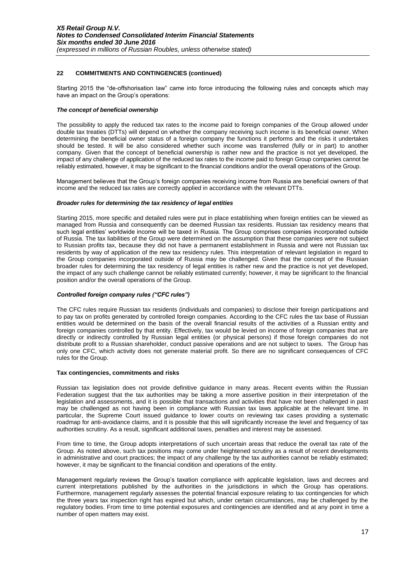# **22 COMMITMENTS AND CONTINGENCIES (continued)**

Starting 2015 the "de-offshorisation law" came into force introducing the following rules and concepts which may have an impact on the Group's operations:

## *The concept of beneficial ownership*

The possibility to apply the reduced tax rates to the income paid to foreign companies of the Group allowed under double tax treaties (DTTs) will depend on whether the company receiving such income is its beneficial owner. When determining the beneficial owner status of a foreign company the functions it performs and the risks it undertakes should be tested. It will be also considered whether such income was transferred (fully or in part) to another company. Given that the concept of beneficial ownership is rather new and the practice is not yet developed, the impact of any challenge of application of the reduced tax rates to the income paid to foreign Group companies cannot be reliably estimated, however, it may be significant to the financial conditions and/or the overall operations of the Group.

Management believes that the Group's foreign companies receiving income from Russia are beneficial owners of that income and the reduced tax rates are correctly applied in accordance with the relevant DTTs.

## *Broader rules for determining the tax residency of legal entities*

Starting 2015, more specific and detailed rules were put in place establishing when foreign entities can be viewed as managed from Russia and consequently can be deemed Russian tax residents. Russian tax residency means that such legal entities' worldwide income will be taxed in Russia. The Group comprises companies incorporated outside of Russia. The tax liabilities of the Group were determined on the assumption that these companies were not subject to Russian profits tax, because they did not have a permanent establishment in Russia and were not Russian tax residents by way of application of the new tax residency rules. This interpretation of relevant legislation in regard to the Group companies incorporated outside of Russia may be challenged. Given that the concept of the Russian broader rules for determining the tax residency of legal entities is rather new and the practice is not yet developed, the impact of any such challenge cannot be reliably estimated currently; however, it may be significant to the financial position and/or the overall operations of the Group.

# *Controlled foreign company rules ("CFC rules")*

The CFC rules require Russian tax residents (individuals and companies) to disclose their foreign participations and to pay tax on profits generated by controlled foreign companies. According to the CFC rules the tax base of Russian entities would be determined on the basis of the overall financial results of the activities of a Russian entity and foreign companies controlled by that entity. Effectively, tax would be levied on income of foreign companies that are directly or indirectly controlled by Russian legal entities (or physical persons) if those foreign companies do not distribute profit to a Russian shareholder, conduct passive operations and are not subject to taxes. The Group has only one CFC, which activity does not generate material profit. So there are no significant consequences of CFC rules for the Group.

#### **Tax contingencies, commitments and risks**

Russian tax legislation does not provide definitive guidance in many areas. Recent events within the Russian Federation suggest that the tax authorities may be taking a more assertive position in their interpretation of the legislation and assessments, and it is possible that transactions and activities that have not been challenged in past may be challenged as not having been in compliance with Russian tax laws applicable at the relevant time. In particular, the Supreme Court issued guidance to lower courts on reviewing tax cases providing a systematic roadmap for anti-avoidance claims, and it is possible that this will significantly increase the level and frequency of tax authorities scrutiny. As a result, significant additional taxes, penalties and interest may be assessed.

From time to time, the Group adopts interpretations of such uncertain areas that reduce the overall tax rate of the Group. As noted above, such tax positions may come under heightened scrutiny as a result of recent developments in administrative and court practices; the impact of any challenge by the tax authorities cannot be reliably estimated; however, it may be significant to the financial condition and operations of the entity.

Management regularly reviews the Group's taxation compliance with applicable legislation, laws and decrees and current interpretations published by the authorities in the jurisdictions in which the Group has operations. Furthermore, management regularly assesses the potential financial exposure relating to tax contingencies for which the three years tax inspection right has expired but which, under certain circumstances, may be challenged by the regulatory bodies. From time to time potential exposures and contingencies are identified and at any point in time a number of open matters may exist.